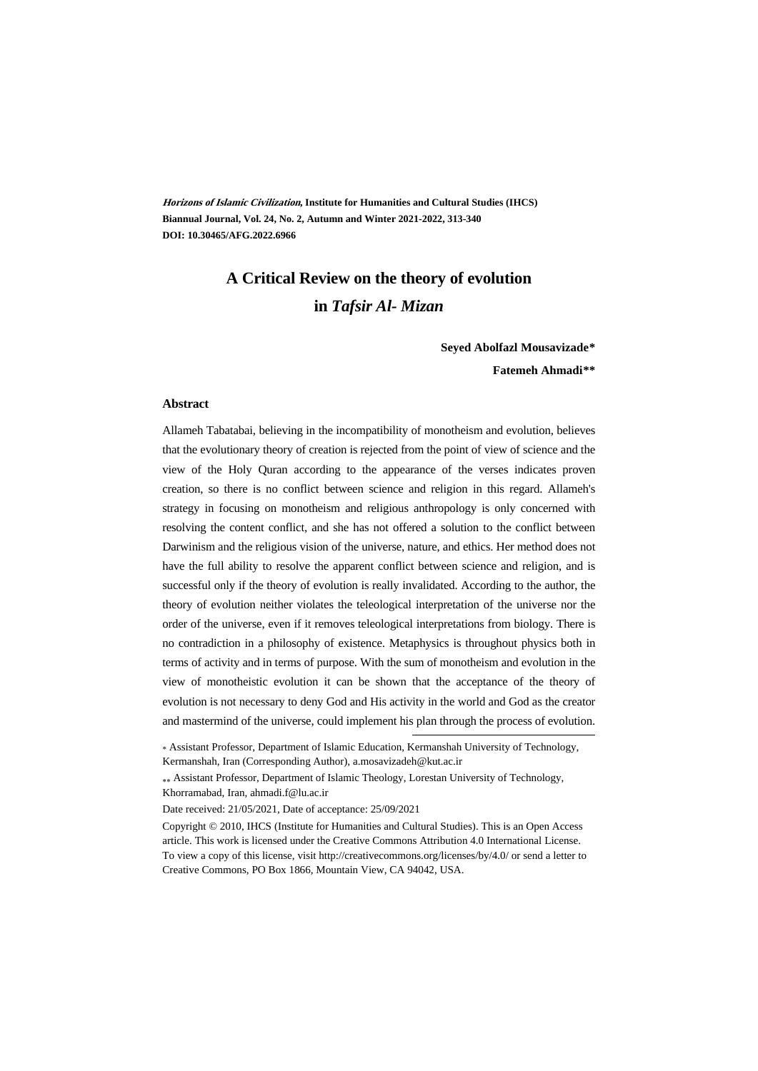**Horizons of Islamic Civilization, Institute for Humanities and Cultural Studies (IHCS) Biannual Journal, Vol. 24, No. 2, Autumn and Winter 2021-2022, 313-340 DOI: 10.30465/AFG.2022.6966**

# **A Critical Review on the theory of evolution in** *Tafsir Al- Mizan*

**Seyed Abolfazl Mousavizade\*\* Fatemeh Ahmadi\*\*†**

#### **Abstract**

Allameh Tabatabai, believing in the incompatibility of monotheism and evolution, believes that the evolutionary theory of creation is rejected from the point of view of science and the view of the Holy Quran according to the appearance of the verses indicates proven creation, so there is no conflict between science and religion in this regard. Allameh's strategy in focusing on monotheism and religious anthropology is only concerned with resolving the content conflict, and she has not offered a solution to the conflict between Darwinism and the religious vision of the universe, nature, and ethics. Her method does not have the full ability to resolve the apparent conflict between science and religion, and is successful only if the theory of evolution is really invalidated. According to the author, the theory of evolution neither violates the teleological interpretation of the universe nor the order of the universe, even if it removes teleological interpretations from biology. There is no contradiction in a philosophy of existence. Metaphysics is throughout physics both in terms of activity and in terms of purpose. With the sum of monotheism and evolution in the view of monotheistic evolution it can be shown that the acceptance of the theory of evolution is not necessary to deny God and His activity in the world and God as the creator and mastermind of the universe, could implement his plan through the process of evolution.

 Assistant Professor, Department of Islamic Theology, Lorestan University of Technology, Khorramabad, Iran, ahmadi.f@lu.ac.ir

Date received: 21/05/2021, Date of acceptance: 25/09/2021

Copyright © 2010, IHCS (Institute for Humanities and Cultural Studies). This is an Open Access article. This work is licensed under the Creative Commons Attribution 4.0 International License. To view a copy of this license, visit http://creativecommons.org/licenses/by/4.0/ or send a letter to Creative Commons, PO Box 1866, Mountain View, CA 94042, USA.

<sup>\*</sup> Assistant Professor, Department of Islamic Education, Kermanshah University of Technology, Kermanshah, Iran (Corresponding Author), a.mosavizadeh@kut.ac.ir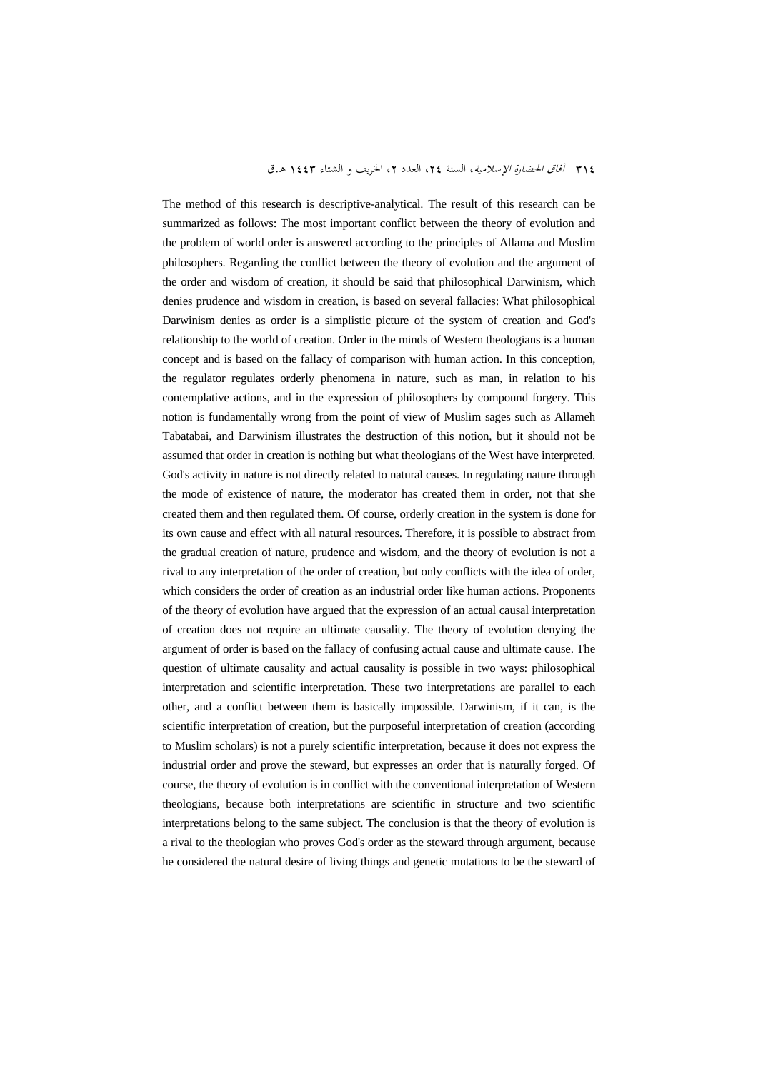The method of this research is descriptive-analytical. The result of this research can be summarized as follows: The most important conflict between the theory of evolution and the problem of world order is answered according to the principles of Allama and Muslim philosophers. Regarding the conflict between the theory of evolution and the argument of the order and wisdom of creation, it should be said that philosophical Darwinism, which denies prudence and wisdom in creation, is based on several fallacies: What philosophical Darwinism denies as order is a simplistic picture of the system of creation and God's relationship to the world of creation. Order in the minds of Western theologians is a human concept and is based on the fallacy of comparison with human action. In this conception, the regulator regulates orderly phenomena in nature, such as man, in relation to his contemplative actions, and in the expression of philosophers by compound forgery. This notion is fundamentally wrong from the point of view of Muslim sages such as Allameh Tabatabai, and Darwinism illustrates the destruction of this notion, but it should not be assumed that order in creation is nothing but what theologians of the West have interpreted. God's activity in nature is not directly related to natural causes. In regulating nature through the mode of existence of nature, the moderator has created them in order, not that she created them and then regulated them. Of course, orderly creation in the system is done for its own cause and effect with all natural resources. Therefore, it is possible to abstract from the gradual creation of nature, prudence and wisdom, and the theory of evolution is not a rival to any interpretation of the order of creation, but only conflicts with the idea of order, which considers the order of creation as an industrial order like human actions. Proponents of the theory of evolution have argued that the expression of an actual causal interpretation of creation does not require an ultimate causality. The theory of evolution denying the argument of order is based on the fallacy of confusing actual cause and ultimate cause. The question of ultimate causality and actual causality is possible in two ways: philosophical interpretation and scientific interpretation. These two interpretations are parallel to each other, and a conflict between them is basically impossible. Darwinism, if it can, is the scientific interpretation of creation, but the purposeful interpretation of creation (according to Muslim scholars) is not a purely scientific interpretation, because it does not express the industrial order and prove the steward, but expresses an order that is naturally forged. Of course, the theory of evolution is in conflict with the conventional interpretation of Western theologians, because both interpretations are scientific in structure and two scientific interpretations belong to the same subject. The conclusion is that the theory of evolution is a rival to the theologian who proves God's order as the steward through argument, because he considered the natural desire of living things and genetic mutations to be the steward of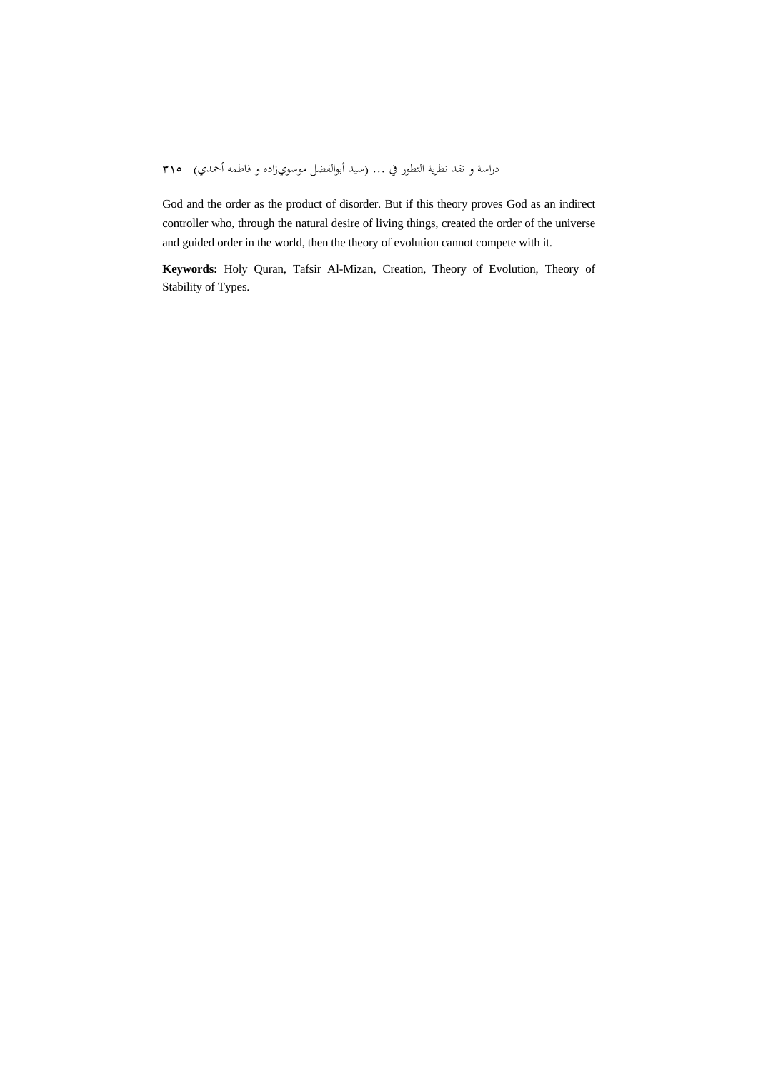God and the order as the product of disorder. But if this theory proves God as an indirect controller who, through the natural desire of living things, created the order of the universe and guided order in the world, then the theory of evolution cannot compete with it.

**Keywords:** Holy Quran, Tafsir Al-Mizan, Creation, Theory of Evolution, Theory of Stability of Types.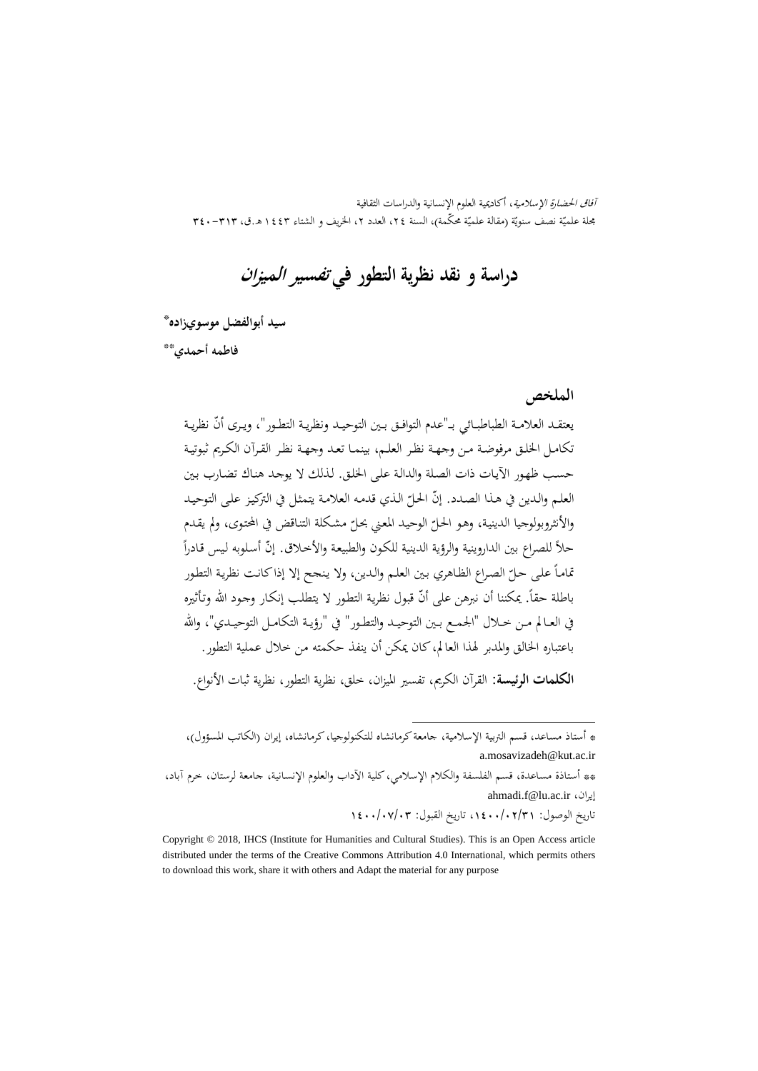آفاق الحضارة الإسلامية، أكاديمية العلوم الإنسانية والدراسات الثقافية بحلة علميّة نصف سنويّة (مقالة علميّة محكّمة)، السنة ٢٤، العدد ٢، الخريف و الشتاء ١٤٤٣ هـ.ق، ٣٢٣-٣٤٠

**دراسة و نقد نظرية التطور في تفسير الميزان**

\* **سيد أبوالفضل موسويزاده**

\*\* **فاطمه أحمدي**

**الملخص**

يعتقـد العلامـة الطباطبــائي بــ"عدم التوافـق بـين التوحيـد ونظريـة التطـور"، ويـرى أنّ نظريـة تكامـل الخلـق مرفوضـة مـن وجهـة نظـر العلـم، بينمـا تعـد وجهـة نظـر القـرآن الكـريم ثبوتيـة حسـب ظهـور الآيـات ذات الصـلة والدالـة علـى الخلـق. لـذلك لا يوجـد هنـاك تضـارب بـين العلـم والدين في هـذا الصـدد. إنّ الحـلّ الـذي قدمه العلامـة يتمثـل في التركيـز علـى التوحيـد<br>. والأنثروبولوجيا الدينية، وهـو الحـلّ الوحيـد المعني بحـلّ مشكلة التنـاقض في المحتوى، ولم يقـدم<br>-حلاً للصراع بين الداروينية والرؤية الدينية للكون والطبيعة والأخلاق. إنّ أسلوبه ليس قادراً تماماً على حـلّ الصـراع الظـاهري بـين العلـم والـدين، ولا ينجح إلا إذا كـانـت نظرية التطـور ً<br>. باطلة حقاً. يمكننا أن نبرهن على أنّ قبول نظرية التطور لا يتطلب إنكار وجود الله وتأثيره في العــالم مــن خــلال "الجمــع بــين التوحيــد والتطــور" في "رؤيــة التكامــل التوحيــدي"، واالله باعتباره الخالق والمدبر لهذا العالم،كان يمكن أن ينفذ حكمته من خلال عملية التطور. **الكلمات الرئيسة:** القرآن الكريم، تفسير الميزان، خلق، نظرية التطور، نظرية ثبات الأنواع.

.

\*\* أستاذة مساعدة، قسم الفلسفة والكلام الإسلامي،كلية الآداب والعلوم الإنسانية، جامعة لرستان، خرم آباد، ahmadi.f@lu.ac.ir ،إيران

تاريخ الوصول: ،1400/02/31 تاريخ القبول: 1400/07/03

<sup>\*</sup> أستاذ مساعد، قسم التربية الإسلامية، جامعةكرمانشاه للتكنولوجيا،كرمانشاه، إيران (الکاتب المسؤول)، a.mosavizadeh@kut.ac.ir

Copyright © 2018, IHCS (Institute for Humanities and Cultural Studies). This is an Open Access article distributed under the terms of the Creative Commons Attribution 4.0 International, which permits others to download this work, share it with others and Adapt the material for any purpose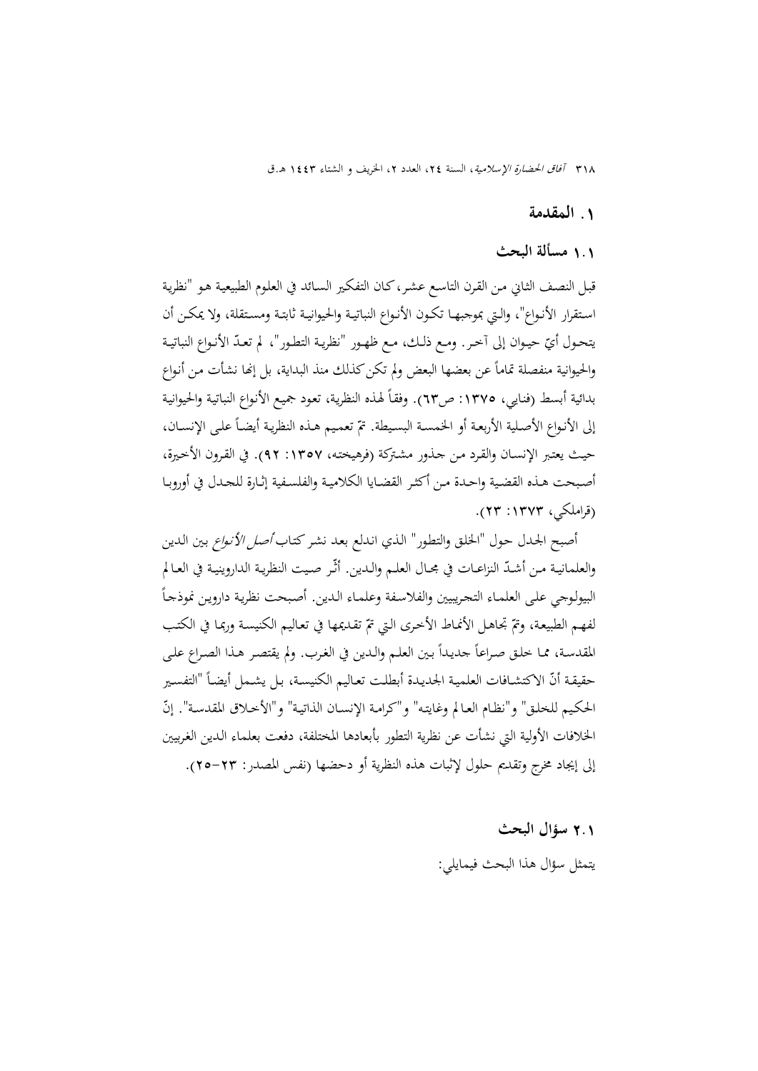#### **.**1 **المقدمة**

### 1**.**1 **مسألة البحث**

قبـل النصـف الثـاني مـن القـرن التاسـع عشـر،كـان التفكـير السـائد في العلـوم الطبيعيـة هـو "نظريـة اســتقرار الأنــواع"، والــتي بموجبهــا تكــون الأنــواع النباتيــة والحيوانيــة ثابتــة ومســتقلة، ولا يمكــن أن يتحـول أيّ حيـوان إلى آخـر. ومـع ذلـك، مـع ظهـور "نظريـة التطـور"، لم تعـدّ الأنـواع النباتيـة والحيوانية منفصلة تماماً عن بعضها البعض ولم تكن كذلك منذ البداية، بل إنها نشأت من أنواع بدائية أبسط (فنايي، ١٣٧٥: ص٦٣). وفقاً لهذه النظرية، تعود جميع الأنواع النباتية والحيوانية إلى الأنـواع الأصـلية الأربعـة أو الخمسـة البسـيطة. تمّ تعمـيم هـذه النظريـة أيضـاً علـي الإنسـان، حيـث يعتـبر الإنسـان والقـرد مـن جـذور مشـتركة (فرهيختـه، :1357 92). في القـرون الأخـيرة، أصبحت هـذه القضية واحـدة مـن أكثـر القضـايا الكلاميـة والفلسـفية إثـارة للجـدل في أوروبـا (قراملكي، :1373 23).

أصبح الجحدل حول "الخلق والتطور" الذي اندلع بعد نشر كتاب *أصل الأنواع* بين الدين والعلمانيـة مـن أشـدّ النزاعــات في مجــال العلــم والــدين. أثّـر صـيت النظريـة الداروينيـة في العـالم  $\overline{a}$ البيولـوجي علـى العلمـاء التجـريبيين والفلاسـفة وعلمـاء الـدين. أصـبحت نظريـة دارويـن نموذجـا لفهم الطبيعة، وتمّ تجاهـل الأنمـاط الأخـرى الـتي تمّ تقـديمها في تعـاليم الكنيسـة وربمـا في الكتـب المقدسـة، ممـا خلـق صـراعاً جديداً بـين العلـم والـدين في الغرب. ولم يقتصـر هـذا الصـراع علـى حقيقـة أنّ الاكتشـافات العلميـة الجديـدة أبطلـت تعـاليم الكنيسـة، بـل يشـمل أيضـاً "التفسـير الحكيم للخلـق" و"نظـام العـالم وغايتـه" و"كرامـة الإنسـان الذاتيـة" و"الأخـلاق المقدسـة". إنّ الخلافات الأولية التي نشأت عن نظرية التطور بأبعادها المختلفة، دفعت بعلماء الـدين الغـربيين إلى إيجاد مخرج وتقديم حلول لإثبات هذه النظرية أو دحضها (نفس المصدر: 25-23).

# 2**.**1 **سؤال البحث**  يتمثل سؤال هذا البحث فيمايلي: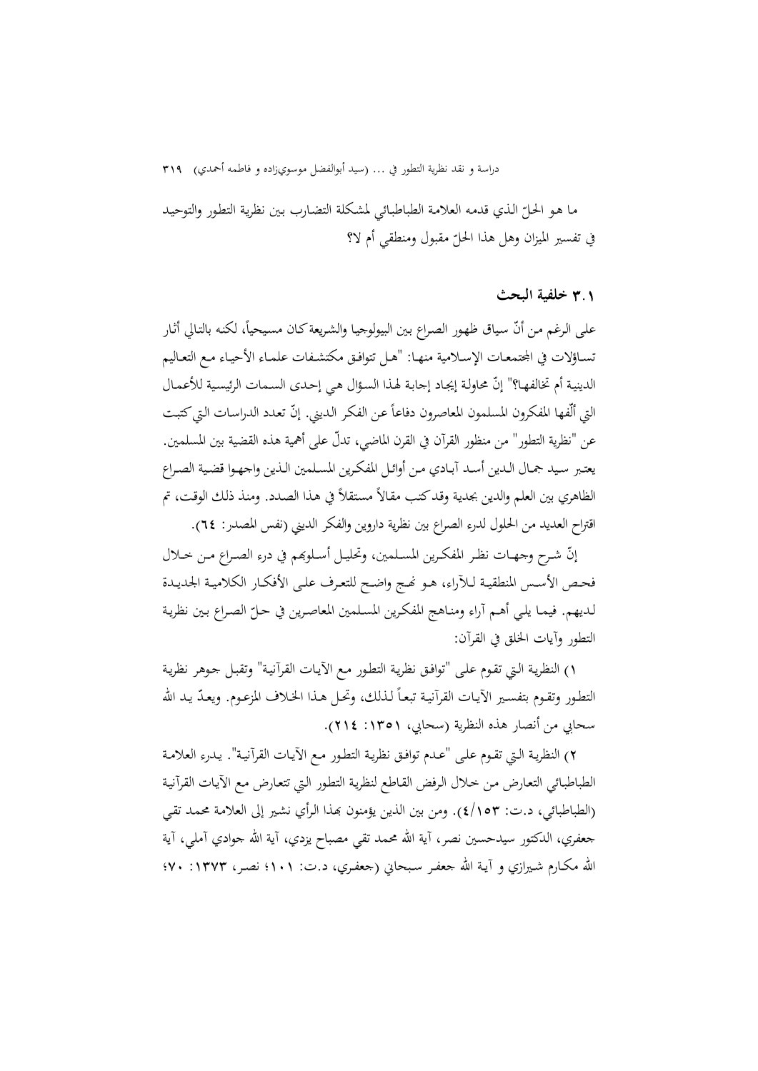مـا هـو الحـلّ الـذي قدمـه العلامـة الطباطبـائي لمشـكلة التضـارب بـين نظريـة التطـور والتوحيـد في تفسير الميزان وهل هذا الحلّ مقبول ومنطقي أم لا؟

### 3**.**1 **خلفية البحث**

على الرغم من أنّ سياق ظهور الصراع بين البيولوجيا والشريعة كـان مسيحياً، لكنه بالتالي أثـار تســاؤلات في المجتمعــات الإســلامية منهــا: "هــل تتوافـق مكتشـفات علمــاء الأحيــاء مــع التعــاليم الدينية أم تخالفهـا؟" إنّ محاولـة إيجـاد إجـابـة لهـذا السـؤال هـي إحـدى السـمات الرئيسـية للأعمـال التي ألّفها المفكرون المسلمون المعاصرون دفاعاً عن الفكر الديني. إنّ تعدد الدراسات التي كتبت عن "نظرية التطور" من منظور القرآن في القرن الماضي، تدلّ على أهمية هذه القضية بين المسلمين. يعتــبر ســيد جمــال الــدين أســد آبــادي مــن أوائــل المفكــرين المســلمين الــذين واجهــوا قضــية الصــراع الظاهري بين العلم والدين بجدية وقد كتب مقالاً مستقلاً في هذا الصدد. ومنذ ذلك الوقت، تم اقتراح العديد من الحلول لدرء الصراع بين نظرية داروين والفكر الديني (نفس المصدر: 64).

إنّ شـرح وجهـات نظـر المفكـرين المسـلمين، وتحليـل أسـلوبحم في درء الصـراع مـن خـلال فحـص الأسـس المنطقيـة لـلآراء، هـو نحـج واضـح للتعـرف علـى الأفكــار الكلاميـة الجديـدة لـديهم. فيمـا يلـي أهـم آراء ومنـاهج المفكـرين المسـلمين المعاصـرين في حـل الصـراع بـين نظريـة ّ التطور وآيات الخلق في القرآن:

1) النظريـة الـتي تقـوم علـى "توافـق نظريـة التطـور مـع الآيـات القرآنيـة" وتقبـل جـوهر نظريـة التطـور وتقـوم بتفسـير الآيـات القرآنيـة تبعـاً لـذلك، وتحـل هـذا الحـلاف المزعـوم. ويعـدّ يـد الله سحابي من أنصار هذه النظرية (سحابي، :1351 214).

2) النظريـة الـتي تقـوم علـى "عـدم توافـق نظريـة التطـور مـع الآيـات القرآنيـة". يـدرء العلامـة الطباطبـائي التعـارض مـن خـلال الـرفض القـاطع لنظريـة التطـور الـتي تتعـارض مـع الآيـات القرآنيـة (الطباطبائي، د.ت: 4/153). ومن بين الذين يؤمنون đـذا الـرأي نشـير إلى العلامـة محمـد تقـي جعفري، الدكتور سيدحسين نصر، آية االله محمد تقي مصباح يزدي، آية االله جوادي آملي، آية الله مكــارم شــيرازي و آيــة الله جعفـر سـبحـاني (جعفـري، د.ت: ۱۰۱؛ نصـر، ۱۳۷۳: ۷۰؛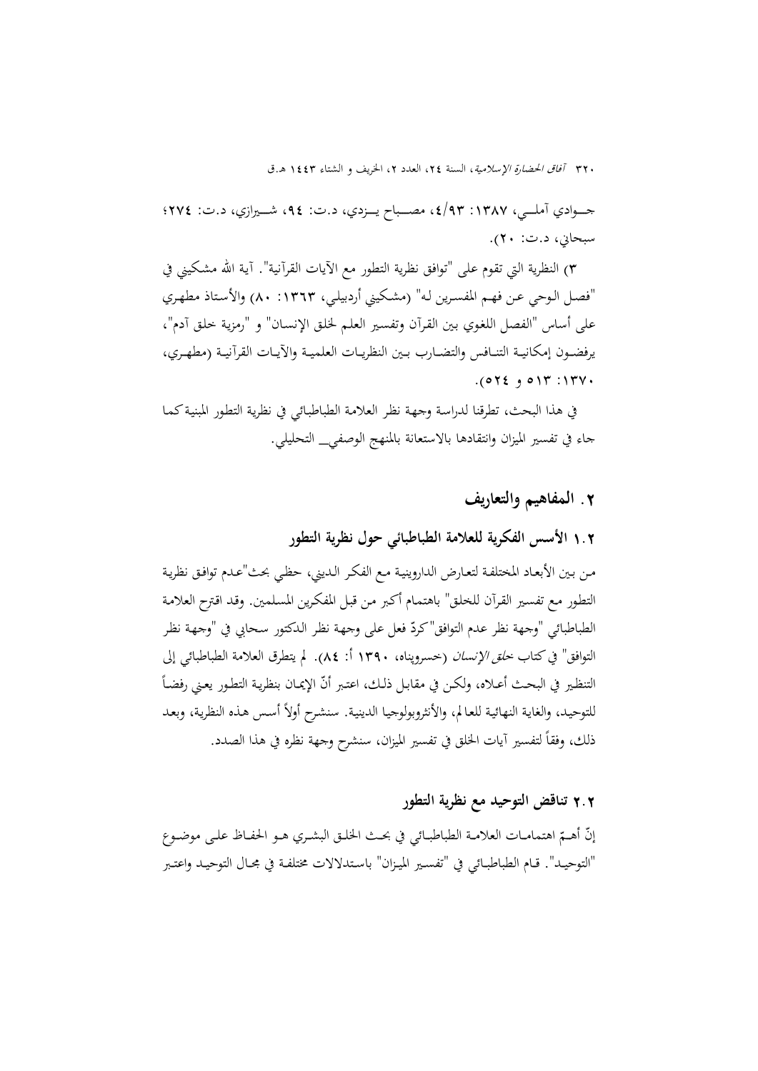جـــــوادي آملـــــي، :1387 ،4/93 مصـــــباح يـــــزدي، د.ت: ،94 شـــــيرازي، د.ت: 274؛ سبحاني، د.ت: 20).

3) النظرية التي تقوم على "توافق نظرية التطور مع الآيات القرآنية". آيـة االله مشـكيني في "فصـل الـوحي عـن فهـم المفسـرين لـه" (مشـكيني أردبيلـي، :1363 80) والأسـتاذ مطهـري على أساس "الفصل اللغـوي بـين القـرآن وتفسـير العلـم لخلـق الإنسـان" و "رمزيـة خلـق آدم"، يرفضــون إمكانيــة التنــافس والتضــارب بــين النظريــات العلميــة والآيــات القرآنيــة (مطهــري،  $.072$   $.017$  : 1377.

في هذا البحث، تطرقنا لدراسـة وجهـة نظـر العلامـة الطباطبـائي في نظريـة التطـور المبنيـةكمـا جاء في تفسير الميزان وانتقادها بالاستعانة بالمنهج الوصفي\_ التحليلي.

### **.**2 **المفاهيم والتعاريف**

### 1**.**2 **الأسس الفكرية للعلامة الطباطبائي حول نظرية التطور**

مـن بـين الأبعـاد المختلفـة لتعـارض الداروينيـة مـع الفكـر الـديني، حظـي بحث"عـدم توافـق نظريـة التطـور مـع تفسـير القـرآن للخلـق" باهتمـام أكـبر مـن قبـل المفكـرين المسـلمين. وقـد اقـترح العلامـة الطباطبائي "وجهة نظر عدم التوافق"كردّ فعل على وجهة نظر الدكتور سحابي في "وجهة نظر التوافق" فيكتاب خلق الإنسان (خسروپناه، 1390 أ: 84). لم يتطرق العلامة الطباطبائي إلى التنظير في البحث أعـلاه، ولكـن في مقابـل ذلـك، اعتـبر أنّ الإيمـان بنظريـة التطـور يعـني رفضـاً للتوحيد، والغاية النهائية للعالم، والأنثروبولوجيا الدينية. سنشرح أولاً أسس هذه النظرية، وبعد ذلك، وفقا ً لتفسير آيات الخلق في تفسير الميزان، سنشرح وجهة نظره في هذا الصدد.

### 2**.**2 **تناقض التوحيد مع نظرية التطور**

إنّ أهــمّ اهتمامـات العلامــة الطباطبــائي في بحــث الخلــق البشــري هــو الحفــاظ علــى موضــوع "التوحيــد". قــام الطباطبــائي في "تفســير الميــزان" باســتدلالات مختلفــة في مجــال التوحيــد واعتــبر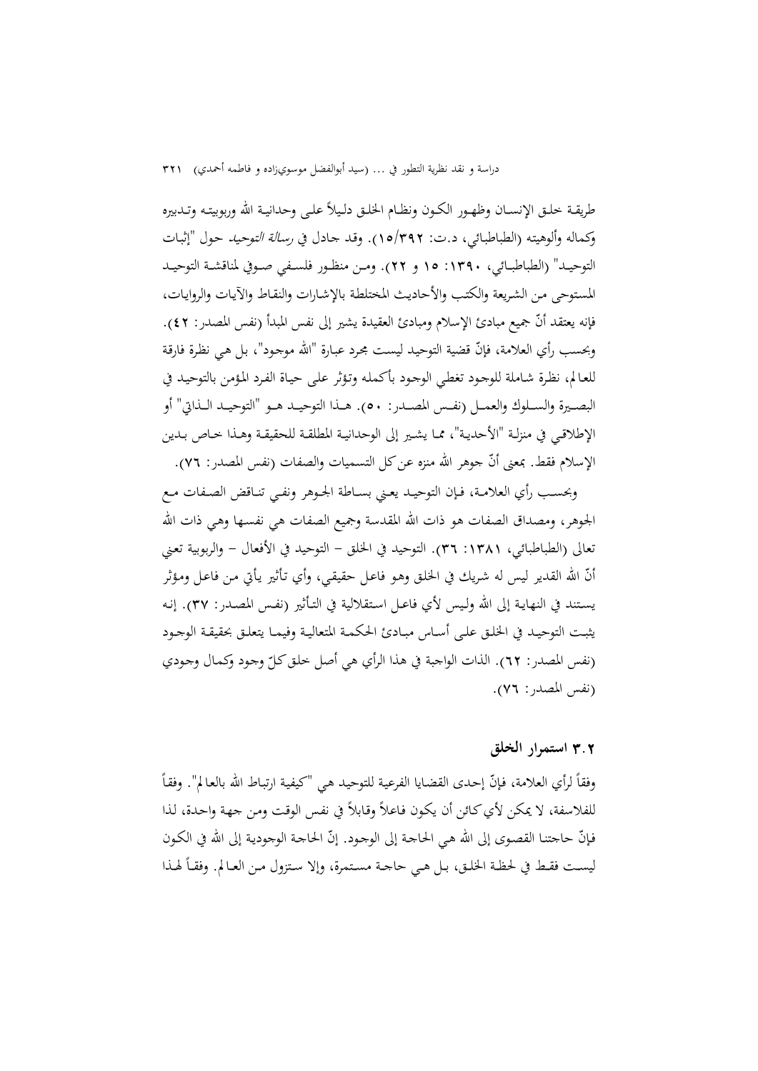طريقـة خلـق الإنســان وظهـور الكـون ونظـام الخلـق دلـيلاً علـى وحدانيـة الله وربوبيتـه وتـدبيره وكماله وألوهيتـه (الطباطبـائي، د.ت: 15/392). وقـد جـادل في رسـالة التوحيـد حـول "إثبـات التوحيــد" (الطباطبــائي، :1390 15 و 22). ومــن منظــور فلســفي صــوفي لمناقشــة التوحيــد المسـتوحى مـن الشـريعة والكتـب والأحاديـث المختلطـة بالإشـارات والنقـاط والآيـات والروايـات، فإنه يعتقد أنّ جميع مبادئ الإسلام ومبادئ العقيدة يشير إلى نفس المبدأ (نفس المصدر: ٤٢). وبحسب رأي العلامة، فإنّ قضية التوحيد ليست مجرد عبـارة "الله موجود"، بـل هـي نظرة فارقة للعـالم، نظـرة شـاملة للوجـود تغطـي الوجـود بأكملـه وتـؤثر علـى حيـاة الفـرد المـؤمن بالتوحيـد في البصــيرة والســلوك والعمــل (نفــس المصــدر: ٥٠). هــذا التوحيــد هــو "التوحيــد الــذاتي" أو الإطلاقــي في منزلــة "الأحديــة"، ممــا يشــير إلى الوحدانيــة المطلقــة للحقيقــة وهــذا خــاص بــدين الإسلام فقط. بمعنى أنّ جوهر الله منزه عن كل التسميات والصفات (نفس المصدر: ٧٦).

وبحســب رأي العلامــة، فــإن التوحيــد يعــني بســاطة الجــوهر ونفــي تنــاقض الصــفات مــع الجوهر، ومصداق الصفات هو ذات االله المقدسة وجميع الصفات هي نفسـها وهـي ذات االله تعالى (الطباطبائي، :1381 36). التوحيد في الخلق - التوحيد في الأفعال - والربوبية تعـني أنّ الله القدير ليس له شريك في الحلق وهـو فاعـل حقيقـي، وأي تـأثير يـأتي مـن فاعـل ومـؤثر يسـتند في النهايـة إلى االله ولـيس لأي فاعـل اسـتقلالية في التـأثير (نفـس المصـدر: 37). إنـه يثبــت التوحيــد في الخلــق علــى أســاس مبــادئ الحكمــة المتعاليــة وفيمــا يتعلــق بحقيقــة الوجــود (نفس المصدر: ٦٢). الذات الواجبة في هذا الرأي هي أصل خلق كلّ وجود وكمال وجودي (نفس المصدر: 76).

### 3**.**2 **استمرار الخلق**

وفقاً لرأي العلامة، فإنّ إحدى القضايا الفرعية للتوحيد هي "كيفية ارتباط الله بالعالم". وفقاً للفلاسفة، لا يمكن لأي كائن أن يكون فاعلاً وقابلاً في نفس الوقت ومن جهة واحدة، لذا فإنّ حاجتنـا القصـوى إلى الله هي الحاجـة إلى الوجـود. إنّ الحاجـة الوجوديـة إلى الله في الكـون ليست فقـط في لحظـة الخلـق، بـل هـي حاجــة مسـتمرة، وإلا سـتزول مـن العـالم. وفقـاً لهـذا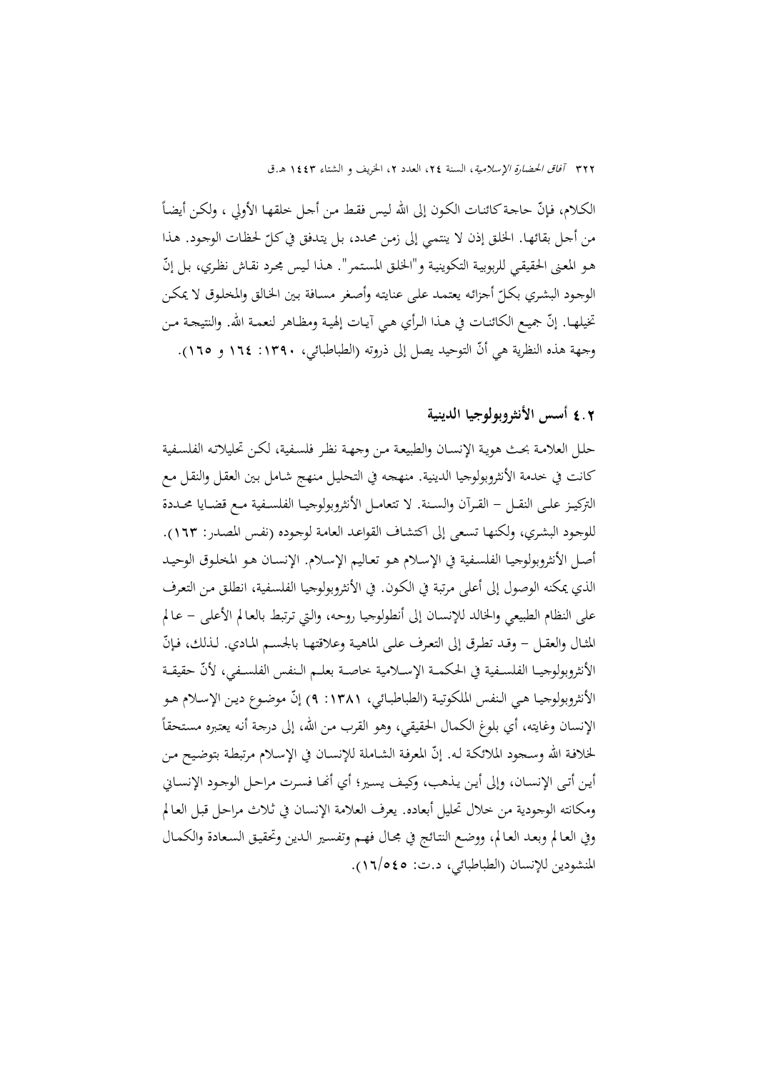الكـلام، فإنّ حاجـة كـائنات الكـون إلى الله ليس فقط مـن أجـل خلقهـا الأولي ، ولكـن أيضـاً من أحل بقائهـا. الخلق إذن لا ينتمي إلى زمن محدد، بل يتدفق في كـلّ لحظـات الوجود. هـذا هـو المعنى الحقيقـي للربوبيـة التكوينيـة و"الخلـق المستمر". هـذا لـيس مجـرد نقـاش نظـري، بـل إنّ الوجـود البشـري بكـل أجزائـه يعتمـد علـى عنايتـه وأصـغر مسـافة بـين الخـالق والمخلـوق لا يمكـن ّ تخيلهـا. إنّ جميع الكائنـات في هـذا الـرأي هـي آيـات إلهيـة ومظـاهر لنعمـة الله. والنتيجـة مـن وجهة هذه النظرية هي أنّ التوحيد يصل إلى ذروته (الطباطبائي، ١٣٩٠: ١٢٤ و ١٦٥).

### 4**.**2 **أسس الأنثروبولوجيا الدينية**

حلـل العلامـة بحـث هويـة الإنسـان والطبيعـة مـن وجهـة نظـر فلسـفية، لكـن تحليلاتـه الفلسـفية كانت في خدمة الأنثروبولوجيا الدينية. منهجـه في التحليـل مـنهج شـامل بـين العقـل والنقـل مـع التركيــز علــى النقــل - القــرآن والســنة. لا تتعامــل الأنثروبولوجيــا الفلســفية مــع قضــايا محــددة للوجـود البشـري، ولكنهـا تسـعى إلى اكتشـاف القواعـد العامـة لوجـوده (نفـس المصـدر: 163). أصـل الأنثروبولوجيـا الفلسـفية في الإسـلام هـو تعـاليم الإسـلام. الإنسـان هـو المخلـوق الوحيـد الذي يمكنه الوصول إلى أعلى مرتبة في الكـون. في الأنثروبولوجيـا الفلسـفية، انطلـق مـن التعـرف على النظام الطبيعي والخالد للإنسـان إلى أنطولوجيـا روحـه، والـتي تـرتبط بالعـالم الأعلـى - عـالم المثـال والعقـل – وقـد تطـرق إلى التعـرف علـى الماهيـة وعلاقتهـا بالجسـم المـادي. لـذلك، فـإنّ الأنثروبولوجيــا الفلســفية في الحكمــة الإســلامية خاصــة بعلــم الــنفس الفلســفي، حقيقــة ّلأن الأنثروبولوجيـا هـي الـنفس الملكوتيـة (الطباطبـائي، ١٣٨١: ٩) إنّ موضـوع ديـن الإسـلام هـو الإنسان وغايته، أي بلوغ الكمال الحقيقي، وهو القرب من الله، إلى درجة أنه يعتبره مستحقاً لخلافـة الله وسـجود الملائكـة لـه. إنّ المعرفـة الشـاملة للإنسـان في الإسـلام مرتبطـة بتوضيح مـن أيـن أتـى الإنسـان، وإلى أيـن يـذهب، وكيـف يسـير؛ أي أنحـا فسـرت مراحـل الوجـود الإنسـاني ومكانته الوجودية من خلال تحليل أبعاده. يعرف العلامة الإنسان في ثـلاث مراحـل قبـل العـالم وفي العـالم وبعـد العـالم، ووضـع النتـائج في مجـال فهـم وتفسـير الـدين وتحقيـق السـعادة والكمـال المنشودين للإنسان (الطباطبائي، د.ت: 16/545).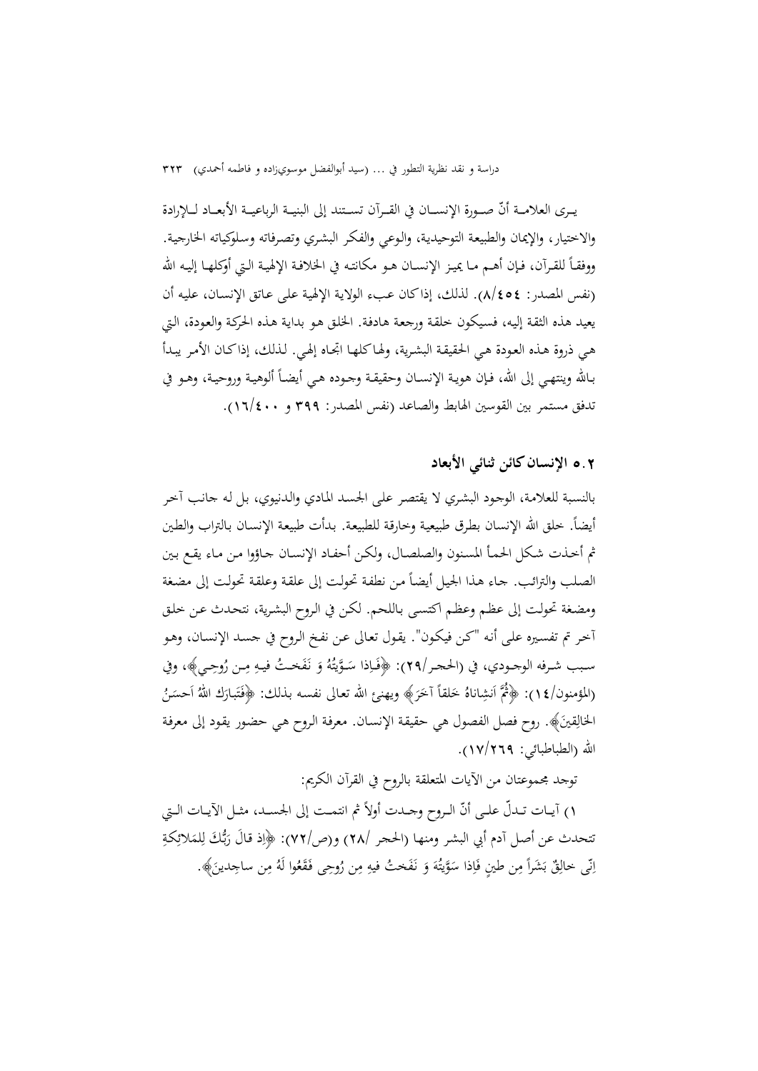يــرى العلامــة أنّ صــورة الإنســان في القــرآن تســتند إلى البنيــة الرباعيــة الأبعــاد لـــلإرادة والاختيار، والإيمان والطبيعـة التوحيديـة، والـوعي والفكـر البشـري وتصـرفاته وسـلوكياته الخارجيـة. ووفقـاً للقـرآن، فـإن أهــم مـا يميـز الإنســان هـو مكانتـه في الخلافـة الإلهيـة الـتي أوكلهـا إليـه الله (نفس المصدر: 8/454). لذلك، إذاكان عـبء الولايـة الإلهيـة علـى عـاتق الإنسـان، عليـه أن يعيد هذه الثقـة إليـه، فسـيكون خلقـة ورجعـة هادفـة. الخلـق هـو بدايـة هـذه الحركـة والعـودة، الـتي هـي ذروة هـذه العـودة هـي الحقيقـة البشـرية، ولهـاكلهـا اتجـاه إلهـي. لـذلك، إذاكـان الأمـر يبـدأ بـاالله وينتهـي إلى االله، فـإن هويـة الإنسـان وحقيقـة وجـوده هـي أيضـا ألوهيـة وروحيـة، وهــو في ً تدفق مستمر بين القوسين الهابط والصاعد (نفس المصدر: 399 و 16/400).

5**.**2 **الإنسانكائن ثنائي الأبعاد** 

بالنسـبة للعلامـة، الوجـود البشـري لا يقتصـر علـى الجسـد المـادي والـدنيوي، بـل لـه جانـب آخـر أيضاً. خلق الله الإنسان بطرق طبيعية وخارقة للطبيعة. بدأت طبيعة الإنسـان بالتراب والطين ثم أخـذت شـكل الحمـأ المسـنون والصلصـال، ولكـن أحفـاد الإنسـان جـاؤوا مـن مـاء يقـع بـين الصلب والترائب. جاء هذا الجيل أيضاً من نطفة تحولت إلى علقة وعلقة تحولت إلى مضغة ومضـغة تحولـت إلى عظـم وعظـم اكتسـى بـاللحم. لكـن في الـروح البشـرية، نتحـدث عـن خلـق آخـر تم تفسـيره علـى أنـه "كـن فيكـون". يقـول تعـالى عـن نفـخ الـروح في جسـد الإنسـان، وهـو ِ ســبب شــرفه الوجــودي، في (الحجــر29/): ــي﴾، وفي ُوح ِــن ر ِ م َ ُ خــت فيــه َف َ نـ ُ و ُه ــويت َ َّ ِذا س َــا ﴿ف (المؤمنون/١٤): ﴿ أَنشِاناهُ خَلْقاً آخَرَ﴾ ويهنئ الله تعالى نفسه بذلك: ﴿فَتَبارَكَ اللهُ اَحسَنُ ا الخالِقينَ﴾. روح فصل الفصول هي حقيقة الإنسـان. معرفة الروح هي حضـور يقود إلى معرفة االله (الطباطبائي: 17/269).

توجد مجموعتان من الآيات المتعلقة بالروح في القرآن الكريم:

١) أيـات تـدلّ علـى أنّ الـروح وجــدت أولاً ثم انتمـت إلى الجسـد، مثـل الآيــات الـتي نتحدث عن أصل آدم أبي البشر ومنها (الحجر /٢٨) و(ص/٧٢): ﴿إِذْ قَالَ رَبُّكَ لِلْمَلائِكَةِ بر<br>با َ و<br>ت اِنِّی خالِقٌ بَشَراً مِن طینٍ فَاِذا سَوَّیتُهَ وَ نَفَختُ فیهِ مِن رُوحِی فَقَعُوا لَهُ مِن ساجِدینَ﴾. بة<br>ق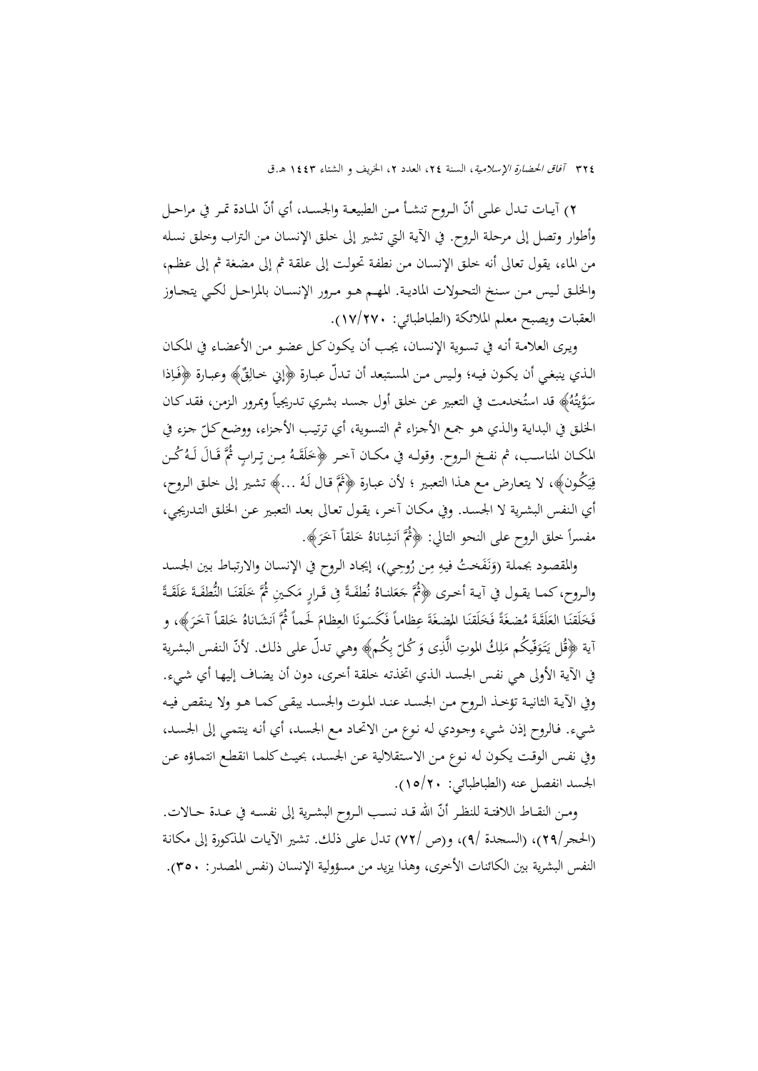٢) آيــات تــدل علـى أنّ الـروح تنشـأ مـن الطبيعـة والجسـد، أي أنّ المـادة تمـر في مراحـل وأطوار وتصل إلى مرحلـة الـروح. في الآيـة الـتي تشـير إلى خلـق الإنسـان مـن الـتراب وخلـق نسـله من الماء، يقول تعالى أنه خلـق الإنسـان مـن نطفـة تحولـت إلى علقـة ثم إلى مضـغة ثم إلى عظـم، والخلــق لــيس مــن ســنخ التحــولات الماديــة. المهــم هــو مــرور الإنســان بالمراحــل لكــي يتجــاوز العقبات ويصبح معلم الملائكة (الطباطبائي: 17/270).

ويـرى العلامـة أنـه في تسـوية الإنسـان، يجـب أن يكـونكـل عضـو مـن الأعضـاء في المكـان الذي ينبغي أن يكون فيه؛ وليس من المستبعد أن تدلّ عبارة ﴿إِنِي خالِقٌ﴾ وعبارة ﴿فَاِذا سَوَّيتُهُ﴾ قد استُخدمت في التعبير عن خلق أول جسد بشري تدريجياً وبمرور الزمن، فقد كـان الخلـق في البدايـة والـذي هـو جمـع الأجـزاء ثم التسـوية، أي ترتيب الأجـزاء، ووضـع كـلّ جـزء في<br>. المكــان المناسـب، ثم نفـخ الـروح. وقولـه في مكــان أخـر ﴿خَلَقَـهُ مِـن تِـرابٍ ثُمَّ قَـالَ لَـهُ كُـن<br>. فِيَكُون﴾، لا يتعارض مـع هـذا التعبـير ؛ لأن عبـارة ﴿ثُمَّ قـال لَهُ …﴾ تشـير إلى خلـق الـروح، ي ِ أي الـنفس البشـرية لا الجسـد. وفي مكـان آخـر، يقـول تعـالى بعـد التعبـير عـن الخلـق التـدريجي، مفسراً خلق الروح على النحو التالي: ﴿ثُمَّ اَنشِاناهُ خَلقاً آخَرَ﴾.

والمقصود بجملة (وَنَفَختُ فيهِ مِن رُوحِي)، إيجاد الروح في الإنسان والارتباط بين الجسد<br>. َ <u>ة</u> والـروح،كمــا يقــول في آيــة أخــرى ﴿ثُمَّ جَعَلنـاهُ نُطفَـةً فِى قَـرارٍ مَكـينِ ثُمَّ خَلَقْنَـا النُّطفَـةَ عَلَقَـةً<br>. َ َ .<br>ا .<br>أ فَخَلَقْنَا العَلَقَةَ مُضِغَةً فَخَلَقْنَا المِضِغَةَ عِظاماً فَكَسَونَا العِظامَ لَحماً ثُمَّ اَنشَاناهُ خَلقاً آخَرَ﴾، و<br>تستدث حكيمة من الفاظ السوائي و عُلمت محمّد من الله عليه الصحيح الصحيح العاملية المقدمة الصحيح الم َ َ َ َ اية ﴿قُل يَتَوَفّيكُم مَلِكُ الموتِ الَّذِى وَ كُلّ بِكُم﴾ وهي تدلّ على ذلك. لأنّ النفس البشرية  $\overline{\phantom{a}}$ ِ $\overline{\phantom{a}}$ َ ڹ<br>ؘ في الآيـة الأولى هـي نفـس الجسـد الـذي اتخذتـه خلقـة أخـرى، دون أن يضـاف إليهـا أي شـيء. وفي الآيـة الثانيــة تؤخــذ الــروح مــن الجســد عنــد المــوت والجســد يبقــىكمــا هــو ولا يــنقص فيــه شـيء. فـالروح إذن شـيء وجـودي لـه نـوع مـن الاتحـاد مـع الجسـد، أي أنـه ينتمـي إلى الجسـد، وفي نفـس الوقـت يكـون لـه نـوع مـن الاسـتقلالية عـن الجسـد، بحيـثكلمـا انقطـع انتمـاؤه عـن الجسد انفصل عنه (الطباطبائي: 15/20).

ومـن النقــاط اللافتــة للنظـر أنّ الله قــد نسـب الــروح البشــرية إلى نفســه في عــدة حــالات. (الحجر29/)، (السجدة 9/)، و(ص 72/) تـدل علـى ذلـك. تشـير الآيـات المـذكورة إلى مكانـة النفس البشرية بين الكائنات الأخرى، وهذا يزيد من مسؤولية الإنسان (نفس المصدر: 350).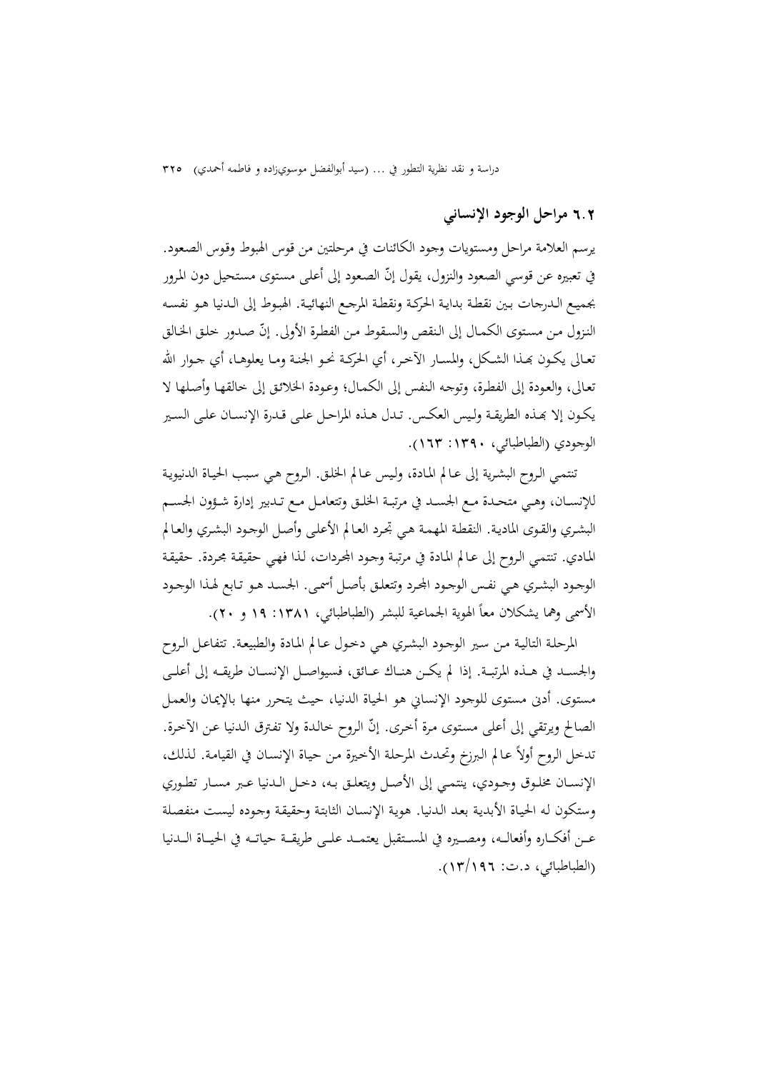6**.**2 **مراحل الوجود الإنساني** 

يرسم العلامة مراحل ومستويات وجود الكائنات في مرحلتين من قوس الهبوط وقـوس الصـعود. في تعبيره عن قوسي الصعود والنزول، يقول إنّ الصعود إلى أعلى مستوى مستحيل دون المرور بجميـع الـدرجات بـين نقطـة بدايـة الحركـة ونقطـة المرجـع النهائيـة. الهبـوط إلى الـدنيا هـو نفسـه النزول من مستوى الكمـال إلى النقص والسـقوط مـن الفطرة الأولى. إنّ صـدور خلـق الخـالق تعــالى يكــون بِحـذا الشـكل، والمســار الآخـر، أي الحركــة نحـو الجنــة ومــا يعلوهــا، أي جــوار الله تعـالى، والعـودة إلى الفطـرة، وتوجـه الـنفس إلى الكمـال؛ وعـودة الخلائـق إلى خالقهـا وأصـلها لا يكـون إلا بحـذه الطريقـة ولـيس العكـس. تـدل هـذه المراحـل علـى قـدرة الإنســان علـى السـير الوجودي (الطباطبائي، :1390 163).

تنتمـي الـروح البشـرية إلى عـالم المـادة، ولـيس عـالم الخلـق. الـروح هـي سـبب الحيـاة الدنيويـة للإنســان، وهــي متحــدة مــع الجســد في مرتبــة الخلــق وتتعامــل مــع تــدبير إدارة شــؤون الجســم البشـري والقـوى الماديـة. النقطـة المهمـة هـي تجـرد العـالم الأعلـى وأصـل الوجـود البشـري والعـالم المـادي. تنتمـي الـروح إلى عـالم المـادة في مرتبـة وجـود اجملـردات، لـذا فهـي حقيقـة مجـردة. حقيقـة الوجـود البشـري هـي نفـس الوجـود المحرد وتتعلـق بأصـل أسمـى. الجسـد هـو تـابع لهـذا الوجـود الأسمى وهما يشكلان معاً الهوية الجماعية للبشر (الطباطبائي، ١٣٨١: ١٩ و ٢٠).

المرحلـة التاليـة مـن سـير الوجـود البشـري هـي دخـول عـالم المـادة والطبيعـة. تتفاعـل الـروح والجســد في هــذه المرتبــة. إذا لم يكــن هنــاك عــائق، فسيواصــل الإنســان طريقــه إلى أعلــى مستوى. أدنى مستوى للوجود الإنساني هو الحياة الدنيا، حيث يتحرر منها بالإيمـان والعمـل الصالح ويرتقي إلى أعلى مستوى مرة أخرى. إنّ الروح خالدة ولا تفترق الدنيا عن الآخرة. تدخل الروح أولاً عـالم البرزخ وتحدث المرحلة الأخيرة من حيـاة الإنسـان في القيامـة. لـذلك، الإنســان مخلــوق وجــودي، ينتمــي إلى الأصــل ويتعلــق بــه، دخــل الــدنيا عــبر مســار تطــوري وستكون لـه الحيـاة الأبديـة بعـد الـدنيا. هويـة الإنسـان الثابتـة وحقيقـة وجـوده ليسـت منفصـلة عـــن أفكـــاره وأفعالـــه، ومصـــيره في المســـتقبل يعتمـــد علـــى طريقـــة حياتـــه في الحيـــاة الـــدنيا (الطباطبائي، د.ت: 13/196).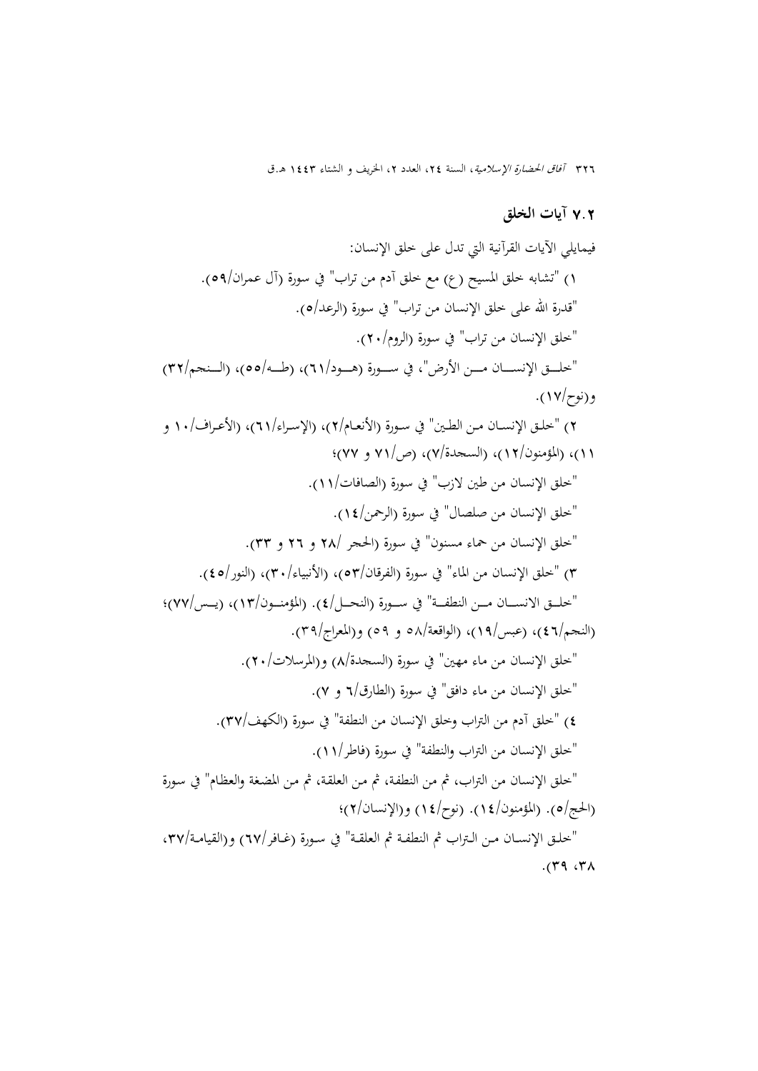326 آفاق الحضارة الإسلامية، السنة ،24 العدد ،2 الخريف و الشتاء 1443 هـ.ق

#### 7**.**2 **آيات الخلق**

فيمايلي الآيات القرآنية التي تدل على خلق الإنسان: 1) "تشابه خلق المسيح (ع) مع خلق آدم من تراب" في سورة (آل عمران/٥٩). "قدرة الله على خلق الإنسان من تراب" في سورة (الرعد/٥). "خلق الإنسان من تراب" في سورة (الروم/٢٠). "خلـــق الإنســـان مـــن الأرض"، في ســـورة (هـــود/٦١)، (طــه/٥٥)، (الــنجم/٣٢) و(نوح17/). 2) "خلــق الإنســان مــن الطــين" في ســورة (الأنعــام2/)، (الإســراء61/)، (الأعــراف10/ و 11)، (المؤمنون12/)، (السجدة7/)، (ص71/ و 77)؛ "خلق الإنسان من طين لازب" في سورة (الصافات11/). "خلق الإنسان من صلصال" في سورة (الرحمن14/). "خلق الإنسان من حماء مسنون" في سورة (الحجر 28/ و 26 و 33). 3) "خلق الإنسان من الماء" في سورة (الفرقان53/)، (الأنبياء30/)، (النور45/). "خلــق الانســـان مـــن النطفــة" في ســـورة (النحـــل/٤). (المؤمنـــون/١٣)، (يــس/٧٧)؛ (النجم/٤٦)، (عبس/١٩)، (الواقعة/٥٩ و ٥٩) و(المعراج/٣٩). "خلق الإنسان من ماء مهين" في سورة (السجدة8/) و(المرسلات20/). "خلق الإنسان من ماء دافق" في سورة (الطارق6/ و 7). ٤) "خلق آدم من التراب وخلق الإنسان من النطفة" في سورة (الكهف/٣٧). "خلق الإنسان من التراب والنطفة" في سورة (فاطر11/). "خلق الإنسان من التراب، ثم من النطفـة، ثم مـن العلقـة، ثم مـن المضـغة والعظـام" في سـورة (الحج/ه). (المؤمنون/1٤). (نوح/1٤) و(الإنسان/٢)؛ "خلـق الإنســان مـن الـتراب ثم النطفـة ثم العلقـة" في سـورة (غـافر/٦٧) و(القيامـة/٣٧،  $(19.7)$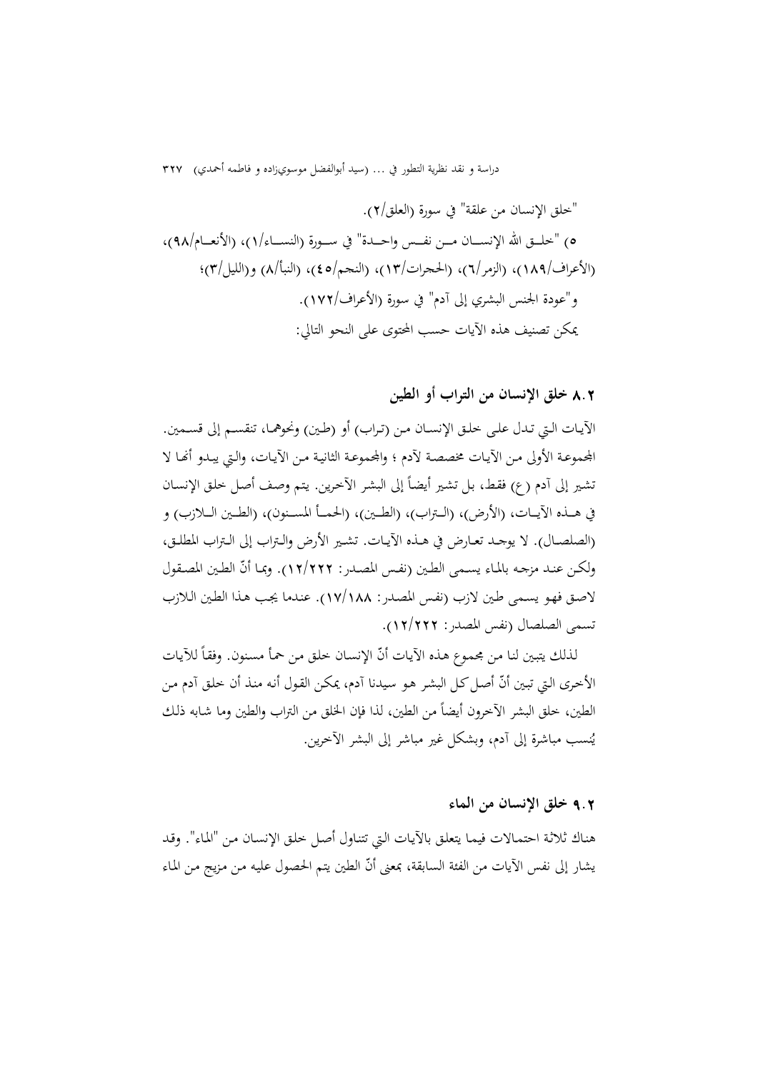"خلق الإنسان من علقة" في سورة (العلق2/). 5) "خلــــق االله الإنســــان مــــن نفــــس واحــــدة" في ســــورة (النســــاء1/)، (الأنعــــام98/)، (الأعراف189/)، (الزمر6/)، (الحجرات13/)، (النجم45/)، (النبأ8/) و(الليل3/)؛ و"عودة الجنس البشري إلى آدم" في سورة (الأعراف172/). يمكن تصنيف هذه الآيات حسب المحتوى على النحو التالي:

8**.**2 **خلق الإنسان من التراب أو الطين** 

الآيــات الــتي تــدل علــى خلــق الإنســان مــن (تــراب) أو (طــين) ونحوهمــا، تنقســم إلى قســمين. المحموعـة الأولى مـن الآيـات مخصصـة لآدم ؛ والمحموعـة الثانيـة مـن الآيـات، والـتي يبـدو أنَّفـا لا نشير إلى آدم (ع) فقط، بل تشير أيضاً إلى البشر الآخرين. يتم وصف أصل خلق الإنسان في هـــذه الآيـــات، (الأرض)، (الـــتراب)، (الطـــين)، (الحمـــأ المســـنون)، (الطـــين الـــلازب) و (الصلصــال). لا يوجــد تعــارض في هــذه الآيــات. تشــير الأرض والــتراب إلى الــتراب المطلــق، ولكـن عنـد مزجـه بالمـاء يسـمى الطـين (نفـس المصـدر: ١٢/٢٢٢). وبمـا أنّ الطـين المصـقول لاصـق فهـو يسـمى طـين لازب (نفـس المصـدر: 17/188). عنـدما يجـب هـذا الطـين الـلازب تسمى الصلصال (نفس المصدر: 12/222).

لذلك يتبين لنا من مجموع هذه الآيات أنّ الإنسان خلق من حمأ مسنون. وفقاً للآيات الأخرى التي تبين أنّ أصل كل البشر هو سيدنا آدم، يمكن القول أنه منذ أن خلق آدم من الطين، خلق البشر الآخرون أيضاً من الطين، لذا فإن الخلق من التراب والطين وما شابه ذلك ي ُنسب مباشرة إلى آدم، وبشكل غير مباشر إلى البشر الآخرين.

### 9**.**2 **خلق الإنسان من الماء**

هنـاك ثلاثـة احتمـالات فيمـا يتعلـق بالآيـات الـتي تتنـاول أصـل خلـق الإنسـان مـن "المـاء". وقـد يشار إلى نفس الآيات من الفئة السابقة، بمعنى أنّ الطين يتم الحصول عليه من مزيج من الماء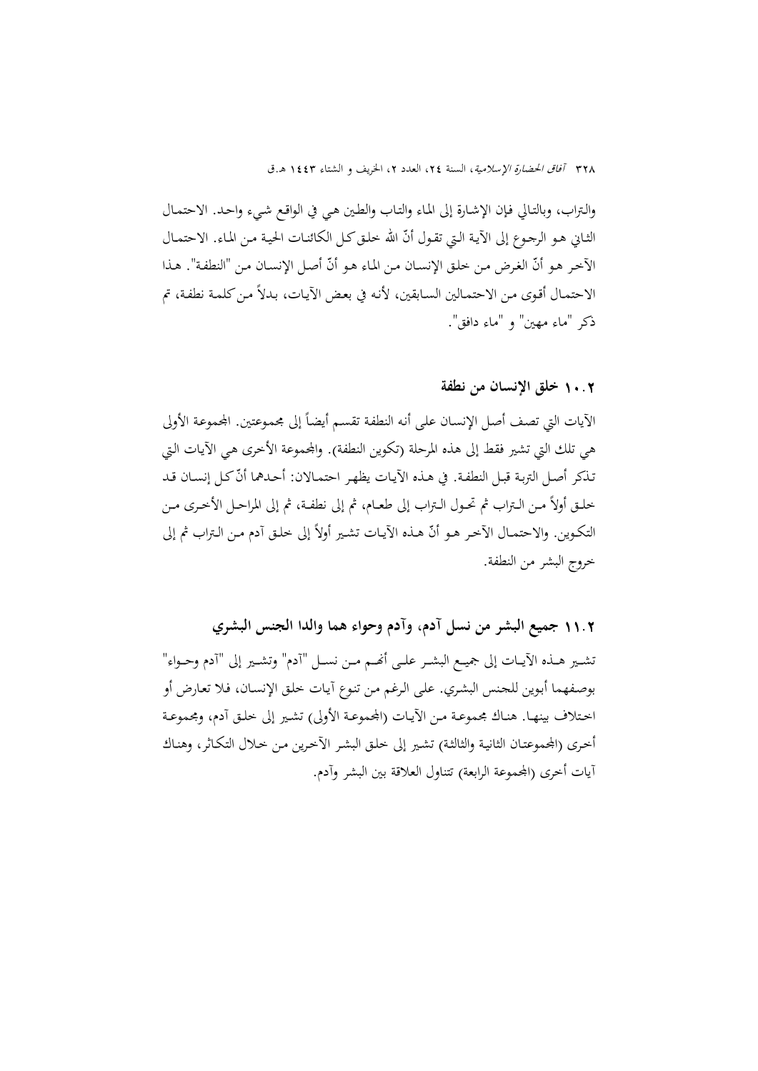والـتراب، وبالتـالي فـإن الإشـارة إلى المـاء والتـاب والطـين هـي في الواقـع شـيء واحـد. الاحتمـال الثـاني هـو الرجـوع إلى الآيـة الـتي تقـول أنّ الله خلـق كـل الكـائنـات الحيـة مـن المـاء. الاحتمـال الآخر هو أنّ الغرض من خلق الإنسـان من الماء هو أنّ أصـل الإنسـان من "النطفة". هـذا الاحتمـال أقـوى مـن الاحتمـالين السـابقين، لأنـه في بعـض الآيـات، بـدلاً مـن كلمـة نطفـة، تم ذكر "ماء مهين" و "ماء دافق".

### 10**.**2 **خلق الإنسان من نطفة**

الآيات التي تصف أصل الإنسـان على أنه النطفة تقسم أيضاً إلى مجموعتين. المحموعة الأولى هي تلك التي تشير فقط إلى هذه المرحلة (تكوين النطفة). واجملموعة الأخرى هـي الآيـات الـتي تذكر أصـل التربـة قبـل النطفـة. في هـذه الآيـات يظهـر احتمـالان: أحـدهما أنّ كـل إنسـان قـد خلــق أولاً مــن الــتراب ثم تحــول الــتراب إلى طعــام، ثم إلى نطفــة، ثم إلى المراحــل الأخــرى مــن التكوين. والاحتمـال الأخـر هـو أنّ هـذه الآيـات تشـير أولاً إلى خلـق آدم مـن الـتراب ثم إلى خروج البشر من النطفة.

11**.**2 **جميع البشر من نسل آدم، وآدم وحواء هما والدا الجنس البشري**  تشــير هــذه الآيــات إلى جميــع البشــر علــى أصَــم مــن نســل "آدم" وتشــير إلى "آدم وحــواء" بوصـفهما أبـوين للجـنس البشـري. علـى الـرغم مـن تنـوع آيـات خلـق الإنسـان، فـلا تعـارض أو اختلاف بينهـا. هنـاك مجموعـة مـن الآيـات (المجموعـة الأولى) تشـير إلى خلـق آدم، ومجموعـة أخرى (المجموعتـان الثانيـة والثالثـة) تشـير إلى خلـق البشـر الآخرين مـن خـلال التكـاثر، وهنـاك آيات أخرى (المجموعة الرابعة) تتناول العلاقة بين البشر وآدم.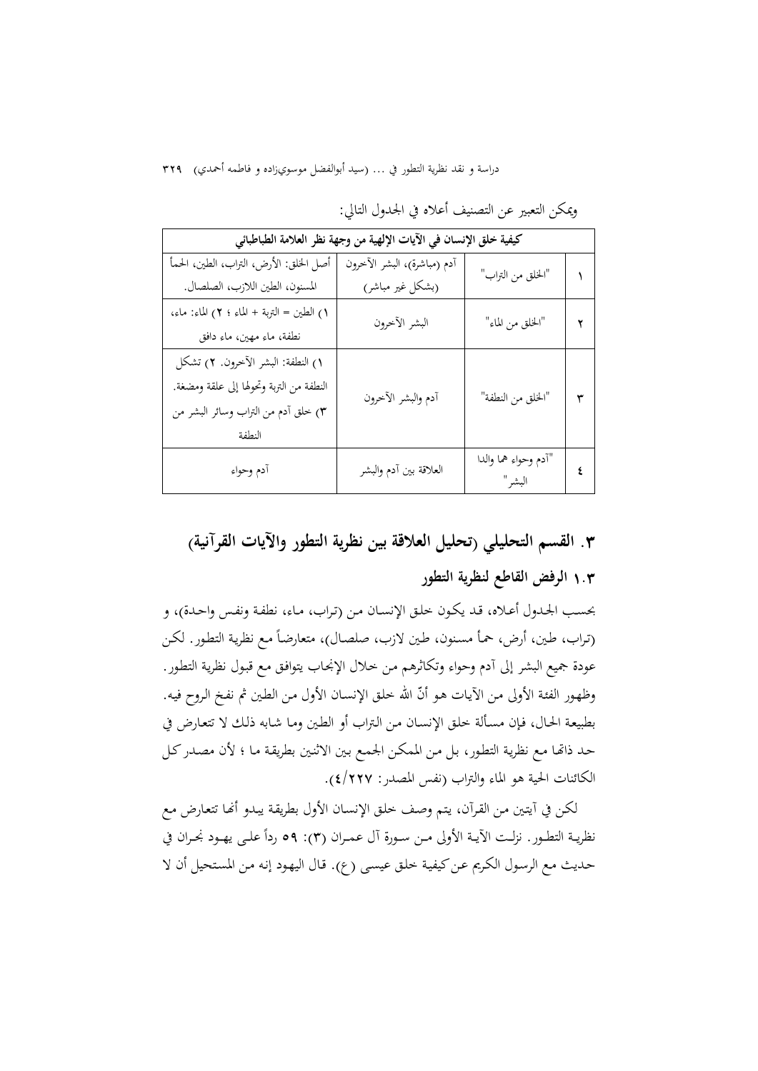| كيفية خلق الإنسان في الآيات الإلهية من وجهة نظر العلامة الطباطبائي |                             |                      |   |
|--------------------------------------------------------------------|-----------------------------|----------------------|---|
| أصل الخلق: الأرض، التراب، الطين، الحمأ                             | أدم (مباشرة)، البشر الأخرون |                      |   |
| المسنون، الطين اللازب، الصلصال.                                    | (بشكل غير مباشر)            | "الخلق من التراب"    |   |
| ١) الطين = التربة + الماء ؛ ٢) الماء: ماء،                         | البشر الأخرون               | "الخلق من الماء"     | ۲ |
| نطفة، ماءِ مهين، ماءِ دافق                                         |                             |                      |   |
| ١) النطفة: البشر الآخرون. ٢) تشكل                                  |                             |                      |   |
| النطفة من التربة وتحولها إلى علقة ومضغة.                           | أدم والبشر الأخرون          | "الخلق من النطفة"    | ٣ |
| ٣) خلق آدم من التراب وسائر البشر من                                |                             |                      |   |
| النطفة                                                             |                             |                      |   |
| أدم وحواء                                                          | العلاقة بين أدم والبشر      | "أدم وحواء هما والدا | ٤ |
|                                                                    |                             | البشر"               |   |

ويمكن التعبير عن التصنيف أعلاه في الجدول التالي:

# **.**3 **القسم التحليلي (تحليل العلاقة بين نظرية التطور والآيات القرآنية)**

## 1**.**3 **الرفض القاطع لنظرية التطور**

بحسـب الجـدول أعـلاه، قـد يكـون خلـق الإنسـان مـن (تـراب، مـاء، نطفـة ونفـس واحـدة)، و (تراب، طين، أرض، حمأ مسنون، طين لازب، صلصـال)، متعارضاً مع نظرية التطور. لكن عودة جميع البشر إلى آدم وحواء وتكاثرهم مـن خـلال الإنجـاب يتوافـق مـع قبـول نظريـة التطـور. وظهور الفئة الأولى من الآيات هو أنّ الله خلق الإنسـان الأول مـن الطين ثم نفـخ الـروح فيه. بطبيعـة الحـال، فـإن مسـألة خلـق الإنسـان مـن الـتراب أو الطـين ومـا شـابه ذلـك لا تتعـارض في حـد ذاēـا مـع نظريـة التطـور، بـل مـن الممكـن الجمـع بـين الاثنـين بطريقـة مـا ؛ لأن مصـدركـل الكائنات الحية هو الماء والتراب (نفس المصدر: 4/227).

لكـن في آيتين مـن القرآن، يتم وصف خلق الإنسـان الأول بطريقة يبـدو أنّحا تتعارض مـع نظريــة التطــور. نزلــت الآيــة الأولى مــن ســورة آل عـمــران (٣): ٥٩ ردأ علــى يهــود نجــران في حـديث مـع الرسـول الكـريم عـن كيفيـة خلـق عيسـى (ع). قـال اليهـود إنـه مـن المستحيل أن لا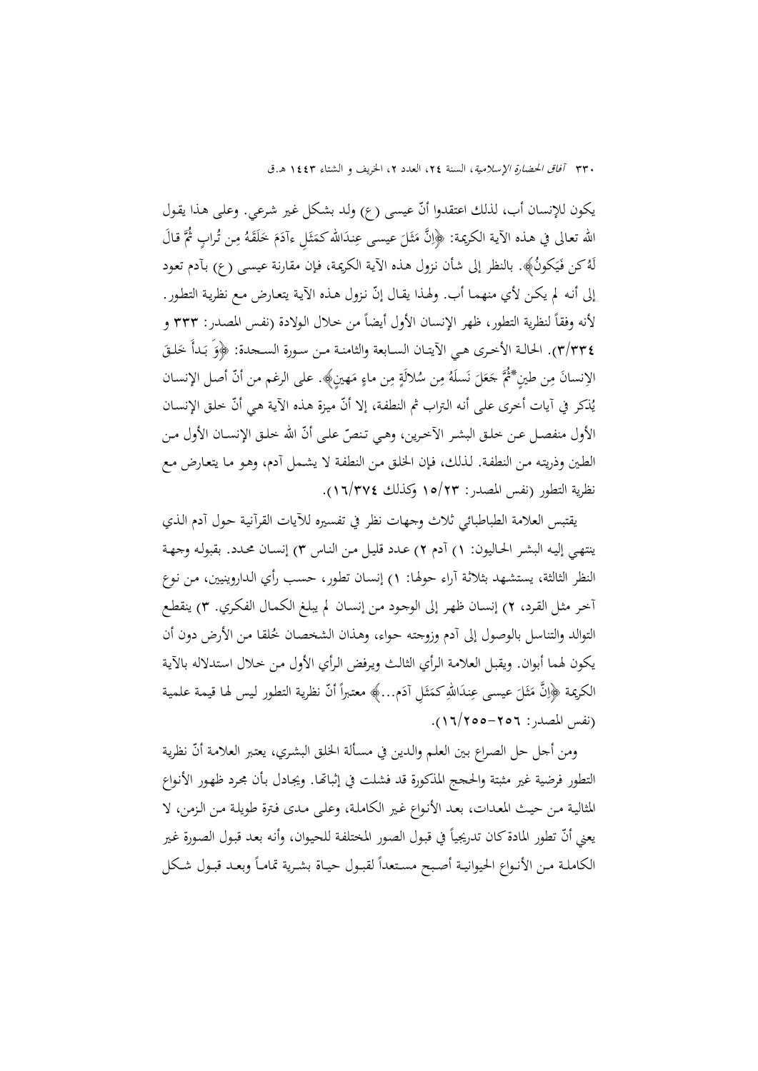يكون للإنسان أب، لذلك اعتقدوا أنّ عيسى (ع) ولد بشكل غير شرعي. وعلى هـذا يقـول َّ َ قـال ُ ٍ ـراب االله تعـالى في هـذه الآيـة الكريمـة: ُثم ِـن ت ُ م َـه َق ل َ خ َم َ ِ ـل ءآد َااللهكم ِنـد َ عيسـی ع َـل ِ َّن م ﴿ا َ ث  $\overline{ }$ ث ً<br>م لَّهُ كن فَيَكونُ﴾. بالنظر إلى شأن نزوِل هـذه الآية الكريمة، فإن مقارنة عيسـى (ع) بآدم تعود إلى أنه لم يكن لأي منهما أب. ولهذا يقال إنّ نزول هـذه الآية يتعارض مـع نظرية التطور. لأنه وفقاً لنظرية التطور، ظهر الإنسان الأول أيضاً من حلال الولادة (نفس المصدر: ٣٣٣ و ٣٣٣). الحالـة الأخرى هـي الآيتـان السـابعة والثامنـة مـن سـورة السـجدة: ﴿وَ بَـدأَ خَلْـقَ<br>. الِإنسانَ مِن طينٍ\*ثُمَّ جَعَلَ نَسلَهُ مِن سُلالَةٍ مِن ماءٍ مَهينٍ﴾. على الرغم من أنّ أصل الإنسان يُذكر في آيات أخرى على أنه التراب ثم النطفة، إلا أنّ ميزة هذه الآية هي أنّ خلق الإنسان<br>. الأول منفصـل عـن خلـق البشـر الآخرين، وهـي تـنصّ علـى أنّ الله خلـق الإنسـان الأول مـن الطـين وذريتـه مـن النطفـة. لـذلك، فـإن الخلـق مـن النطفـة لا يشـمل آدم، وهـو مـا يتعـارض مـع نظرية التطور (نفس المصدر: 15/23 وكذلك 16/374).

يقتبس العلامة الطباطبائي ثلاث وجهات نظر في تفسيره للآيات القرآنيـة حـول آدم الـذي ينتهـي إليـه البشـر الحـاليون: 1) آدم 2) عـدد قليـل مـن النـاس 3) إنسـان محـدد. بقبولـه وجهـة النظر الثالثة، يستشـهد بثلاثـة آراء حولهـا: 1) إنسـان تطـور، حسـب رأي الـداروينيين، مـن نـوع آخـر مثـل القـرد، 2) إنسـان ظهـر إلى الوجـود مـن إنسـان لم يبلـغ الكمـال الفكـري. 3) ينقطـع التوالد والتناسل بالوصول إلى أدم وزوجته حواء، وهـذان الشخصـان څلقـا مـن الأرض دون أن يكون لهما أبوان. ويقبـل العلامـة الـرأي الثالـث ويـرفض الـرأي الأول مـن خـلال اسـتدلاله بالآيـة الكريمة ﴿اِنَّ مَثَلَ عيسى عِندَاللهِ كَمَثَلِ آدَم…﴾ معتبراً أنّ نظرية التطور ليس لها قيمة علمية ث  $\ddot{\phantom{0}}$ ث ً<br>م (نفس المصدر: 16/255-256).

ومن أجل حل الصراع بين العلـم والدين في مسـألة الخلـق البشري، يعتبر العلامـة أنّ نظرية التطور فرضية غير مثبتة والحجج المذكورة قد فشلت في إثباēـا. ويجـادل بـأن مجـرد ظهـور الأنـواع المثاليـة مـن حيـث المعـدات، بعـد الأنـواع غـير الكاملـة، وعلـى مـدى فـترة طويلـة مـن الـزمن، لا يعني أنّ تطور المادة كان تدريجياً في قبول الصور المختلفة للحيوان، وأنه بعد قبول الصورة غير الكاملـة مـن الأنـواع الحيوانيـة أصـبح مسـتعداً لقبـول حيـاة بشـرية تمامـاً وبعـد قبـول شـكل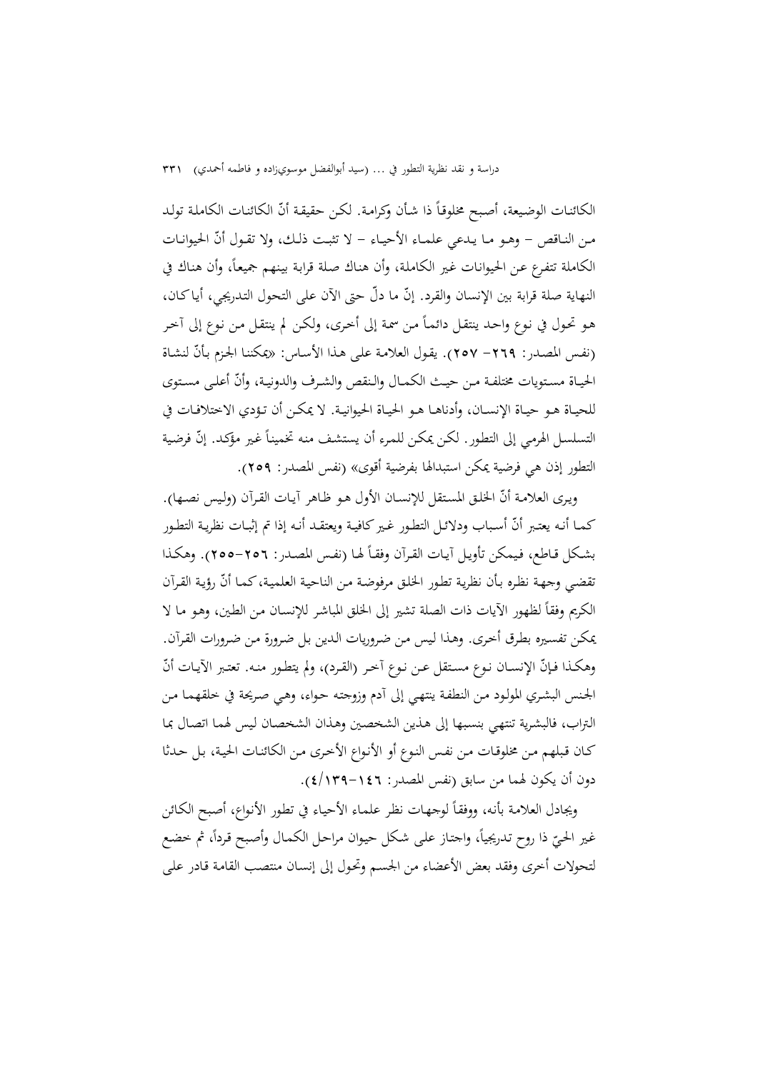الكائنات الوضيعة، أصبح مخلوقاً ذا شأن وكرامة. لكن حقيقة أنّ الكائنات الكاملة تولد مـن النـاقص – وهـو مـا يـدعي علمـاء الأحيـاء – لا تثبت ذلـك، ولا تقـول أنّ الحيوانـات الكاملة تتفرع عن الحيوانات غير الكاملة، وأن هناك صلة قرابة بينهم جميعاً، وأن هناك في النهاية صلة قرابة بين الإنسان والقرد. إنّ ما دلّ حتى الآن على التحول التدريجي، أيـاكـان، هـو تحـول في نـوع واحـد ينتقـل دائمـاً مـن سمة إلى أخـرى، ولكـن لم ينتقـل مـن نـوع إلى آخـر (نفس المصدر: ٢٦٩– ٢٥٧). يقول العلامة على هذا الأساس: «يمكننا الجزم بأنّ لنشاة الحيـاة مسـتويات مختلفـة مـن حيـث الكمـال والـنقص والشـرف والدونيـة، وأنّ أعلـى مسـتوى للحيــاة هــو حيــاة الإنســان، وأدناهــا هــو الحيــاة الحيوانيــة. لا يمكــن أن تــؤدي الاختلافــات في التسلسل الهرمي إلى التطور. لكن يمكن للمرء أن يستشف منه تخميناً غير مؤكد. إنّ فرضية التطور إذن هي فرضية يمكن استبدالها بفرضية أقوى» (نفس المصدر: 259).

ويرى العلامـة أنّ الخلق المستقل للإنسـان الأول هـو ظـاهر آيـات القرآن (وليس نصـها). كمـا أنـه يعتـبر أنّ أسـباب ودلائـل التطـور غـير كـافيـة ويعتقـد أنـه إذا تم إثبــات نظريـة التطـور بشكل قـاطع، فيمكن تأويـل آيـات القـرآن وفقـاً لهـا (نفـس المصـدر : ٢٥٦–٢٥٥). وهكـذا تقضي وجهة نظره بأن نظرية تطور الخلق مرفوضة من الناحية العلمية، كما أنّ رؤية القرآن الكريم وفقاً لظهور الآيات ذات الصلة تشير إلى الخلق المباشر للإنسـان مـن الطين، وهـو مـا لا يمكـن تفسـيره بطـرق أخـرى. وهـذا لـيس مـن ضـروريات الـدين بـل ضـرورة مـن ضـرورات القـرآن. وهكـذا فـإنّ الإنســان نـوع مسـتقل عـن نـوع آخـر (القـرد)، ولم يتطـور منـه. تعتـبر الآيـات أنّ الجـنس البشـري المولـود مـن النطفـة ينتهـي إلى آدم وزوجتـه حـواء، وهـي صـريحة في خلقهمـا مـن الـتراب، فالبشـرية تنتهـي بنسـبها إلى هـذين الشخصـين وهـذان الشخصـان لـيس لهمـا اتصـال بمـا كـان قـبلهم مـن مخلوقـات مـن نفـس النـوع أو الأنـواع الأخـرى مـن الكائنـات الحيـة، بـل حـدثا دون أن يكون لهما من سابق (نفس المصدر: 4/139-146).

ويجادل العلامة بأنه، ووفقاً لوجهات نظر علماء الأحياء في تطور الأنواع، أصبح الكائن غير الحيّ ذا روح تدريجياً، واجتاز على شكل حيوان مراحل الكمال وأصبح قرداً، ثم خضع<br>. لتحولات أخرى وفقد بعض الأعضاء من الجسـم وتحـول إلى إنسـان منتصـب القامـة قـادر علـى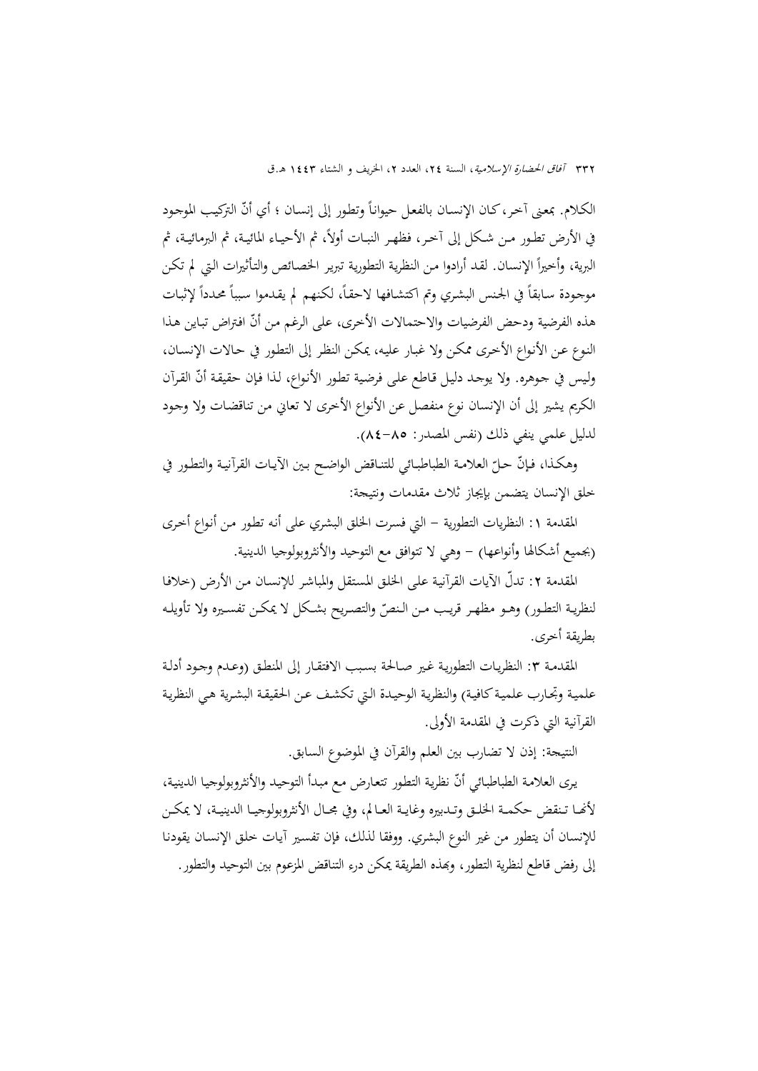الكلام. بمعنى آخر، كـان الإنسـان بالفعـل حيوانـًا وتطور إلى إنسـان ؛ أي أنّ التركيب الموجـود في الأرض تطـور مـن شـكل إلى آخـر، فظهـر النبــات أولاً، ثم الأحيــاء المائيـة، ثم البرمائيـة، ثم البرية، وأخيراً الإنسان. لقد أرادوا من النظرية التطورية تبرير الخصائص والتأثيرات التي لم تكن موجودة سابقاً في الجنس البشري وتم اكتشافها لاحقاً، لكنهم لم يقدموا سبباً محدداً لإثبات هذه الفرضية ودحض الفرضيات والاحتمالات الأخرى، على الرغم من أنّ افتراض تباين هذا النـوع عـن الأنـواع الأخـرى ممكـن ولا غبـار عليـه، يمكـن النظـر إلى التطـور في حـالات الإنسـان، وليس في جـوهره. ولا يوجـد دليل قـاطع علـى فرضية تطور الأنـواع، لـذا فـإن حقيقة أنّ القرآن الكريم يشير إلى أن الإنسان نوع منفصل عن الأنواع الأخرى لا تعاني من تناقضـات ولا وجـود لدليل علمي ينفي ذلك (نفس المصدر: 84-85).

وهكـذا، فـإنّ حـلّ العلامـة الطباطبـائي للتنـاقض الواضـح بـين الآيـات القرآنيـة والتطـور في خلق الإنسان يتضمن بإيجاز ثلاث مقدمات ونتيجة:

المقدمة :1 النظريات التطورية - التي فسرت الخلق البشري على أنـه تطـور مـن أنـواع أخـرى (بجميع أشكالها وأنواعها) - وهي لا تتوافق مع التوحيد والأنثروبولوجيا الدينية.

المقدمة ٢: تدلّ الآيات القرآنية على الخلق المستقل والمباشر للإنسـان مـن الأرض (خلافـا لنظريـة التطـور) وهــو مظهـر قريـب مـن الـنصّ والتصـريح بشـكل لا يمكـن تفسـيره ولا تأويلـه بطريقة أخرى.

المقدمـة ٣: النظريـات التطوريـة غـير صـالحـة بسبب الافتقـار إلى المنطـق (وعـدم وجـود أدلـة علميـة وتجـارب علميـة كـافيـة) والنظريـة الوحيـدة الـتي تكشف عـن الحقيقـة البشرية هـي النظريـة القرآنية التي ذكرت في المقدمة الأولى.

النتيجة: إذن لا تضارب بين العلم والقرآن في الموضوع السابق.

يرى العلامة الطباطبائي أنّ نظرية التطور تتعارض مع مبدأ التوحيد والأنثروبولوجيا الدينية، لأنّحـا تـنقض حكمـة الخلـق وتـدبيره وغايـة العـالم، وفي مجـال الأنثروبولوجيـا الدينيـة، لا يمكـن للإنسان أن يتطور من غير النوع البشري. ووفقا لذلك، فإن تفسـير آيـات خلـق الإنسـان يقودنـا إلى رفض قاطع لنظرية التطور، وبمذه الطريقة يمكن درء التناقض المزعوم بين التوحيد والتطور.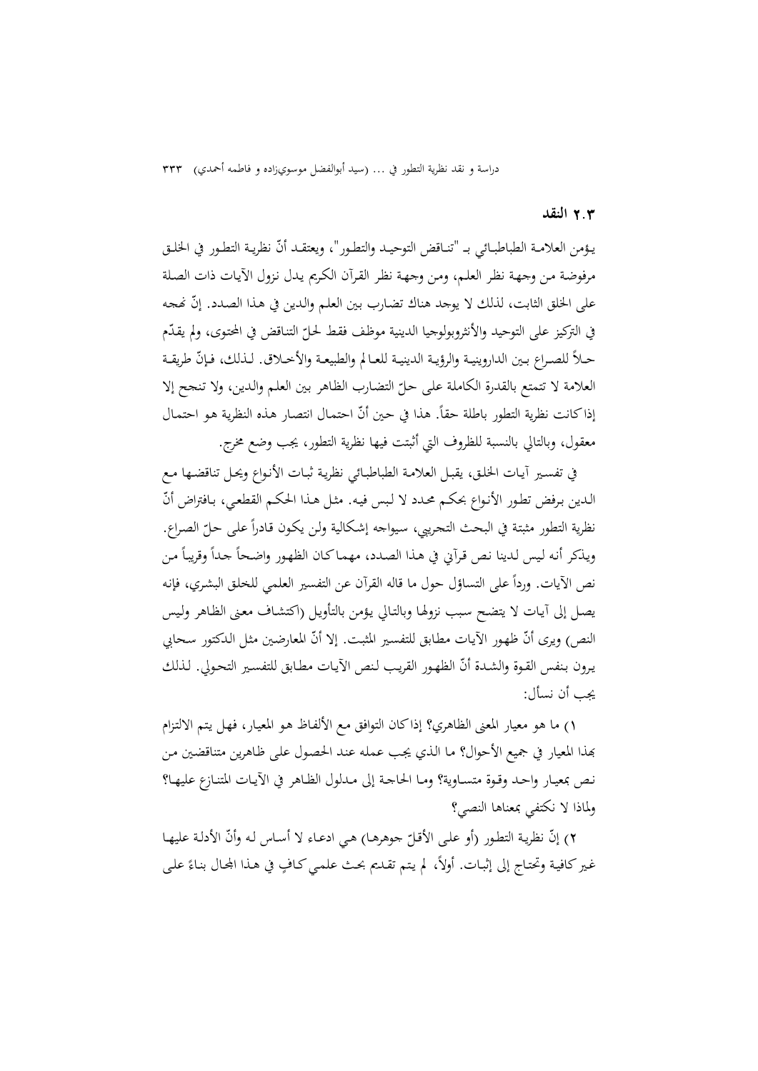#### 2**.**3 **النقد**

يـؤمن العلامـة الطباطبـائي بــ "تنـاقض التوحيـد والتطـور"، ويعتقـد أنّ نظريـة التطـور في الخلـق مرفوضـة مـن وجهـة نظـر العلـم، ومـن وجهـة نظـر القـرآن الكـريم يـدل نـزول الآيـات ذات الصـلة على الخلق الثابت، لذلك لا يوجد هناك تضارب بين العلم والدين في هذا الصدد. إنّ نُحجه في التركيز على التوحيد والأنثروبولوجيا الدينية موظف فقط لحلّ التناقض في المحتوى، ولم يقدّم حـلاً للصـراع بـين الداروينيـة والرؤيـة الدينيـة للعـالم والطبيعـة والأخــلاق. لـذلك، فـإنّ طريقـة العلامة لا تتمتع بالقدرة الكاملة على حلّ التضارب الظاهر بين العلم والدين، ولا تنجح إلا<br>. إذا كانت نظرية التطور باطلة حقاً. هذا في حين أنّ احتمال انتصار هـذه النظرية هـو احتمـال معقول، وبالتالي بالنسبة للظروف التي أثبتت فيها نظرية التطور، يجب وضع مخرج.

في تفسـير آيـات الخلـق، يقبـل العلامـة الطباطبـائي نظريـة ثبـات الأنـواع ويحـل تناقضـها مـع الـدين بـرفض تطور الأنـواع بحكـم محـدد لا لـبس فيـه. مثـل هـذا الحكـم القطعـي، بـافتراض أنّ نظرية التطور مثبتة في البحث التحريبي، سيواجه إشكالية ولـن يكـون قـادراً علـى حـلّ الصـراع.<br>. ويذكر أنه ليس لدينا نص قرآني في هـذا الصـدد، مهمـاكـان الظهـور واضـحاً جـداً وقريباً مـن نص الآيات. ورداً على التساؤل حول ما قاله القرآن عن التفسير العلمي للخلق البشري، فإنه يصـل إلى آيـات لا يتضـح سـبب نزولهـا وبالتـالي يـؤمن بالتأويـل (اكتشـاف معـنى الظـاهر ولـيس النص) ويرى أنّ ظهور الآيات مطابق للتفسير المثبت. إلا أنّ المعارضين مثل الدكتور سحابي يـرون بـنفس القـوة والشـدة أنّ الظهـور القريب لـنص الآيـات مطـابق للتفسـير التحـولي. لـذلك يجب أن نسأل:

1) ما هو معيار المعنى الظاهري؟ إذاكان التوافق مـع الألفـاظ هـو المعيـار، فهـل يـتم الالتـزام đذا المعيار في جميع الأحوال؟ مـا الـذي يجـب عملـه عنـد الحصـول علـى ظـاهرين متناقضـين مـن نـص بمعيـار واحـد وقــوة متسـاوية؟ ومـا الحاجـة إلى مــدلول الظـاهر في الآيـات المتنـازع عليهــا؟ ولماذا لا نكتفي بمعناها النصي؟

٢) إنّ نظرية التطور (أو علـى الأقـلّ جوهرهـا) هي ادعـاء لا أسـاس لـه وأنّ الأدلـة عليهـا<br>٣) إنّ نظريـة التطـور (أو غير كافية وتحتاج إلى إثبـات. أولاً، لم يتم تقـديم بحـث علمـي كـافٍ في هـذا المحال بنـاءً علـي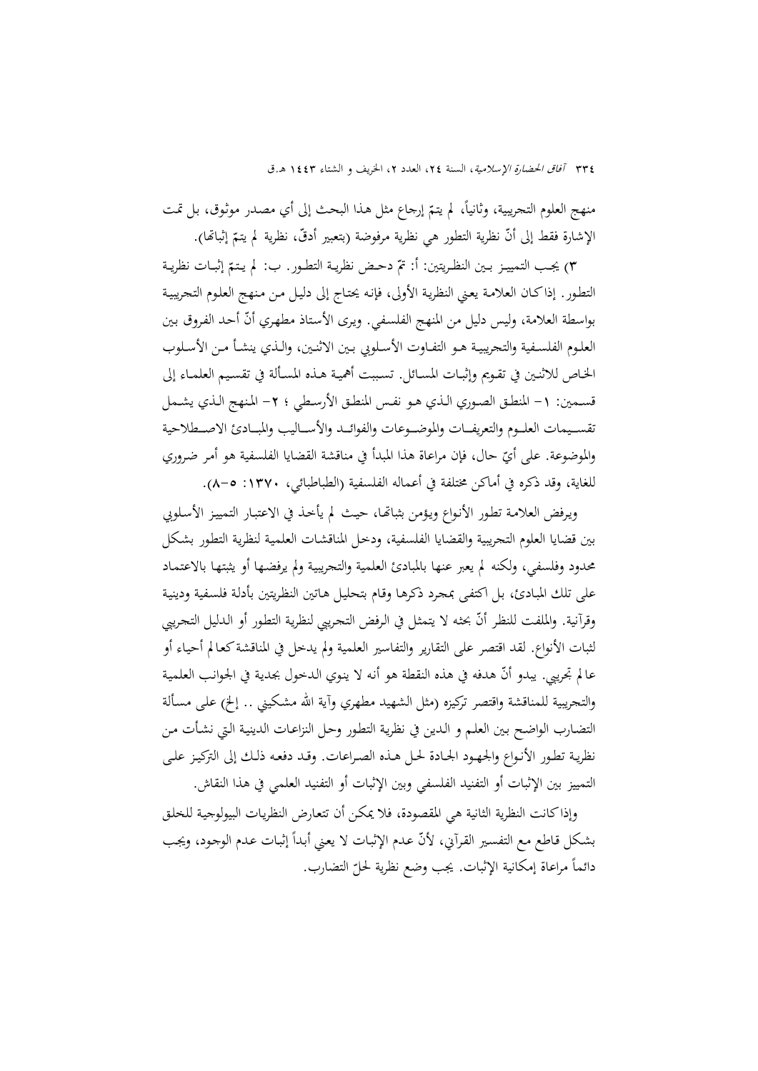منهج العلوم التحريبية، وثانياً، لم يتمّ إرجاع مثل هـذا البحث إلى أي مصـدر موثـوق، بـل تمـت الإشارة فقط إلى أنّ نظرية التطور هي نظرية مرفوضة (بتعبير أدقّ، نظرية لم يتمّ إثباتما).<br>.

٣) يجـب التمييــز بــين النظـريتين: أ: تمّ دحـض نظريــة التطــور. ب: لم يـتـمّ إثبــات نظريــة التطـور. إذاكـان العلامـة يعـني النظريـة الأولى، فإنـه يحتـاج إلى دليـل مـن مـنهج العلـوم التجريبيـة بواسطة العلامة، وليس دليل من المنهج الفلسفي. ويرى الأستاذ مطهري أنّ أحد الفروق بين العلــوم الفلســفية والتجريبيــة هــو التفــاوت الأســلوبي بــين الاثنــين، والــذي ينشــأ مــن الأســلوب الخـاص للاثنـين في تقـويم وإثبــات المسـائل. تسـببت أهميـة هــذه المسـألة في تقسـيم العلمــاء إلى قسـمين: ١- المنطـق الصـوري الـذي هـو نفـس المنطـق الأرسـطي ؛ ٢- المنهج الـذي يشـمل تقســيمات العلــوم والتعريفــات والموضــوعات والفوائــد والأســاليب والمبــادئ الاصــطلاحية والموضوعة. على أي حال، فإن مراعاة هذا المبدأ في مناقشة القضايا الفلسفية هو أمـر ضـروري ّ للغاية، وقد ذكره في أماكن مختلفة في أعماله الفلسفية (الطباطبائي، :1370 8-5).

ويـرفض العلامـة تطـور الأنـواع ويـؤمن بثباēـا، حيـث لم يأخـذ في الاعتبـار التمييـز الأسـلوبي بين قضايا العلوم التجريبية والقضايا الفلسفية، ودخـل المناقشـات العلميـة لنظريـة التطـور بشـكل محدود وفلسفي، ولكنه لم يعبر عنها بالمبادئ العلمية والتجريبيـة ولم يرفضـها أو يثبتهـا بالاعتمـاد على تلك المبـادئ، بـل اكتفـى بمجـرد ذكرهـا وقـام بتحليـل هـاتين النظـريتين بأدلـة فلسـفية ودينيـة وقرآنية. والملفت للنظر أنّ بحثه لا يتمثل في الرفض التجريبي لنظرية التطور أو الـدليل التجريبي لثبات الأنواع. لقد اقتصر على التقارير والتفاسير العلمية ولم يدخل في المناقشةكعـالم أحيـاء أو عالم تجريبي. يبدو أنّ هدفه في هذه النقطة هو أنه لا ينوي الدخول بجدية في الجوانب العلمية والتجريبية للمناقشة واقتصر تركيزه (مثل الشهيد مطهري وآية االله مشـكيني .. إلخ) علـى مسـألة التضـارب الواضـح بـين العلـم و الـدين في نظريـة التطـور وحـل النزاعـات الدينيـة الـتي نشـأت مـن نظريـة تطـور الأنـواع والجهـود الجـادة لحـل هـذه الصـراعات. وقـد دفعـه ذلـك إلى التركيـز علـى التمييز بين الإثبات أو التفنيد الفلسفي وبين الإثبات أو التفنيد العلمي في هذا النقاش.

وإذاكانت النظرية الثانية هي المقصودة، فلا يمكـن أن تتعـارض النظريـات البيولوجيـة للخلـق بشكل قاطع مع التفسير القرآني، لأنّ عـدم الإثبـات لا يعني أبداً إثبـات عـدم الوجود، ويجـب دائماً مراعاة إمكانية الإثبات. يجب وضع نظرية لحلّ التضارب.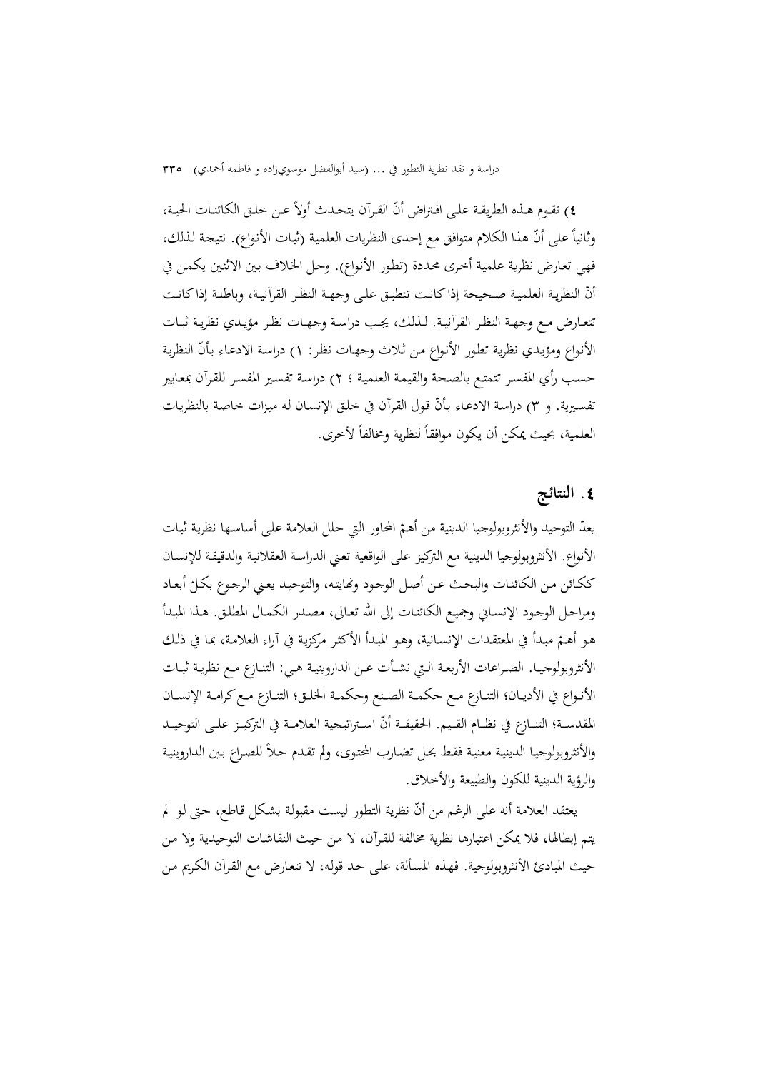٤) تقـوم هـذه الطريقـة علـى افـتراض أنّ القـرآن يتحـدث أولاً عـن خلـق الكائنـات الحيـة، وثانياً على أنّ هذا الكلام متوافق مع إحدى النظريات العلمية (ثبات الأنواع). نتيجة لذلك، فهي تعـارض نظريـة علميـة أخـرى محـددة (تطـور الأنـواع). وحـل الخـلاف بـين الاثنـين يكمـن في أنّ النظرية العلميـة صـحيحة إذاكانـت تنطبـق علـى وجهـة النظـر القرآنيـة، وباطلـة إذاكانـت تتعــارض مــع وجهــة النظــر القرآنيــة. لــذلك، يجــب دراســة وجهــات نظــر مؤيــدي نظريــة ثبــات الأنواع ومؤيدي نظرية تطور الأنواع من ثلاث وجهـات نظر: ١) دراسة الادعـاء بأنّ النظرية حسـب رأي المفسـر تتمتـع بالصـحة والقيمـة العلميـة ؛ 2) دراسـة تفسـير المفسـر للقـرآن بمعـايير تفسيرية. و ٣) دراسة الادعـاء بـأنّ قـول القرآن في خلـق الإنسـان لـه ميـزات خـاصـة بالنظريـات العلمية، بحيث يمكن أن يكون موافقاً لنظرية ومخالفاً لأخرى.

### **.**4 **النتائج**

يعدّ التوحيد والأنثروبولوجيا الدينية من أهمّ المحاور التي حلل العلامة علمى أساسـها نظرية ثبـات الأنواع. الأنثروبولوجيا الدينية مع التركيز على الواقعية تعـني الدراسـة العقلانيـة والدقيقـة للإنسـان ككـائن مـن الكائنـات والبحـث عـن أصـل الوجـود ونّايتـه، والتوحيـد يعـني الرجـوع بكـلّ أبعـاد ومراحـل الوجـود الإنسـاني وجميـع الكائنـات إلى االله تعـالى، مصـدر الكمـال المطلـق. هـذا المبـدأ هـو أهـم مبـدأ في المعتقـدات الإنسـانية، وهـو المبـدأ الأكثـر مركزيـة في آراء العلامـة، بمـا في ذلـك ّ الأنثروبولوجيــا. الصــراعات الأربعــة الــتي نشــأت عــن الداروينيــة هــي: التنــازع مــع نظريــة ثبــات الأنـواع في الأديـان؛ التنـازع مـع حكمـة الصـنع وحكمـة الخلـق؛ التنـازع مـع كرامـة الإنســان المقدسـة؛ التنــازع في نظــام القــيم. الحقيقــة أنّ اســتراتيجية العلامــة في التركيــز علــى التوحيــد والأنثروبولوجيا الدينية معنية فقط بحل تضارب المحتوى، ولم تقدم حلاً للصراع بين الداروينية والرؤية الدينية للكون والطبيعة والأخلاق.

يعتقد العلامة أنه على الرغم من أنّ نظرية التطور ليست مقبولة بشكل قاطع، حتى لو لم يتم إبطالها، فلا يمكن اعتبارها نظرية مخالفة للقـرآن، لا مـن حيـث النقاشـات التوحيديـة ولا مـن حيث المبادئ الأنثروبولوجية. فهـذه المسـألة، علـى حـد قولـه، لا تتعـارض مـع القـرآن الكـريم مـن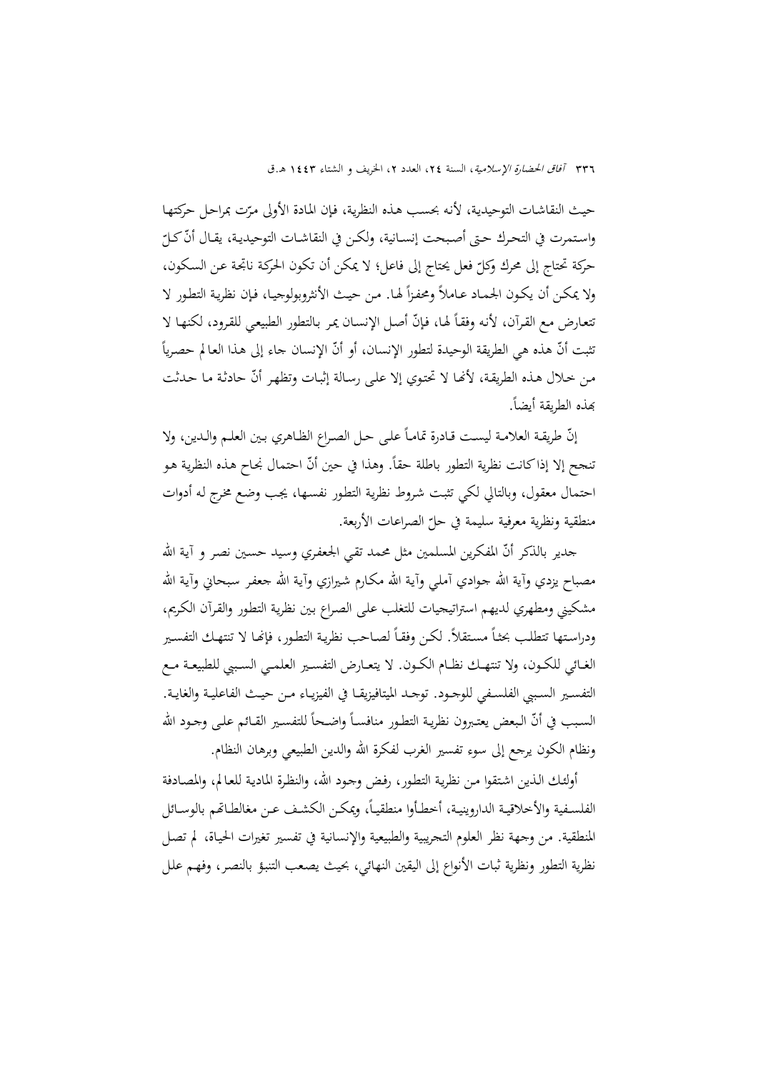336 آفاق الحضارة الإسلامية، السنة ،24 العدد ،2 الخريف و الشتاء 1443 هـ.ق

حيث النقاشـات التوحيدية، لأنه بحسب هـذه النظرية، فـإن المـادة الأولى مـرّت بمراحل حركتهـا<br>-واستمرت في التحرك حتى أصبحت إنســانية، ولكـن في النقاشــات التوحيديـة، يقــال أنّ كـلّ حركة تحتاج إلى محرك وكل فعل يحتاج إلى فاعل؛ لا يمكن أن تكون الحركـة ناتجـة عـن السـكون، ّ ولا يمكـن أن يكـون الجمـاد عـاملاً ومحفـزاً لهـا. مـن حيـث الأنثروبولوجيـا، فـإن نظرية التطـور لا تتعارض مـع القرآن، لأنه وفقـاً لهـا، فإنّ أصـل الإنسـان يمر بـالتطور الطبيعـي للقرود، لكنهـا لا تثبت أنّ هذه هي الطريقة الوحيدة لتطور الإنسان، أو أنّ الإنسان جاء إلى هذا العالم حصرياً من خلال هـذه الطريقـة، لأنَّفـا لا تحتـوي إلا علـى رسـالة إثبـات وتظهـر أنَّ حادثـة مـا حـدثت بَعذه الطريقة أيضاً.

إنّ طريقة العلامـة ليست قـادرة تمامـاً علـى حـل الصـراع الظـاهري بـين العلـم والـدين، ولا  $\overline{\phantom{a}}$ تنجح إلا إذاكانت نظرية التطور باطلة حقاً. وهذا في حين أنّ احتمال نجاح هذه النظرية هو احتمال معقول، وبالتالي لكي تثبـت شـروط نظريـة التطـور نفسـها، يجـب وضـع مخـرج لـه أدوات منطقية ونظرية معرفية سليمة في حل الصراعات الأربعة. ّ

جدير بالذكر أنّ المفكرين المسلمين مثل محمد تقي الجعفري وسيد حسـين نصـر و آية الله مصباح يزدي وآية الله جـوادي آملـي وآيـة الله مكـارم شـيرازي وآيـة الله جعفـر سـبحاني وآيـة الله مشكيني ومطهري لديهم استراتيجيات للتغلب علـى الصـراع بـين نظريـة التطـور والقـرآن الكـريم، ودراستها تتطلب بحثـاً مستقلاً. لكـن وفقـاً لصـاحب نظرية التطور، فإنَّـا لا تنتهـك التفسير الغــائي للكــون، ولا تنتهــك نظــام الكــون. لا يتعــارض التفســير العلمــي الســببي للطبيعــة مــع التفسـير السـببي الفلسـفي للوجـود. توجـد الميتافيزيقــا في الفيزيــاء مــن حيــث الفاعليــة والغايــة. السبب في أنّ البعض يعتبرون نظرية التطور منافسـاً واضـحاً للتفسـير القـائم علـى وجـود الله ونظام الكون يرجع إلى سوء تفسير الغرب لفكرة االله والدين الطبيعي وبرهان النظام.

أولئـك الـذين اشـتقوا مـن نظريـة التطـور، رفـض وجـود االله، والنظـرة الماديـة للعـالم، والمصـادفة الفلسـفية والأخلاقيـة الداروينيـة، أخطـأوا منطقيـاً، ويمكـن الكشـف عـن مغالطـاتهم بالوسـائل المنطقية. من وجهة نظر العلوم التجريبية والطبيعية والإنسانية في تفسير تغيرات الحيـاة، لم تصـل نظرية التطور ونظرية ثبات الأنواع إلى اليقين النهائي، بحيث يصـعب التنبـؤ بالنصـر، وفهـم علـل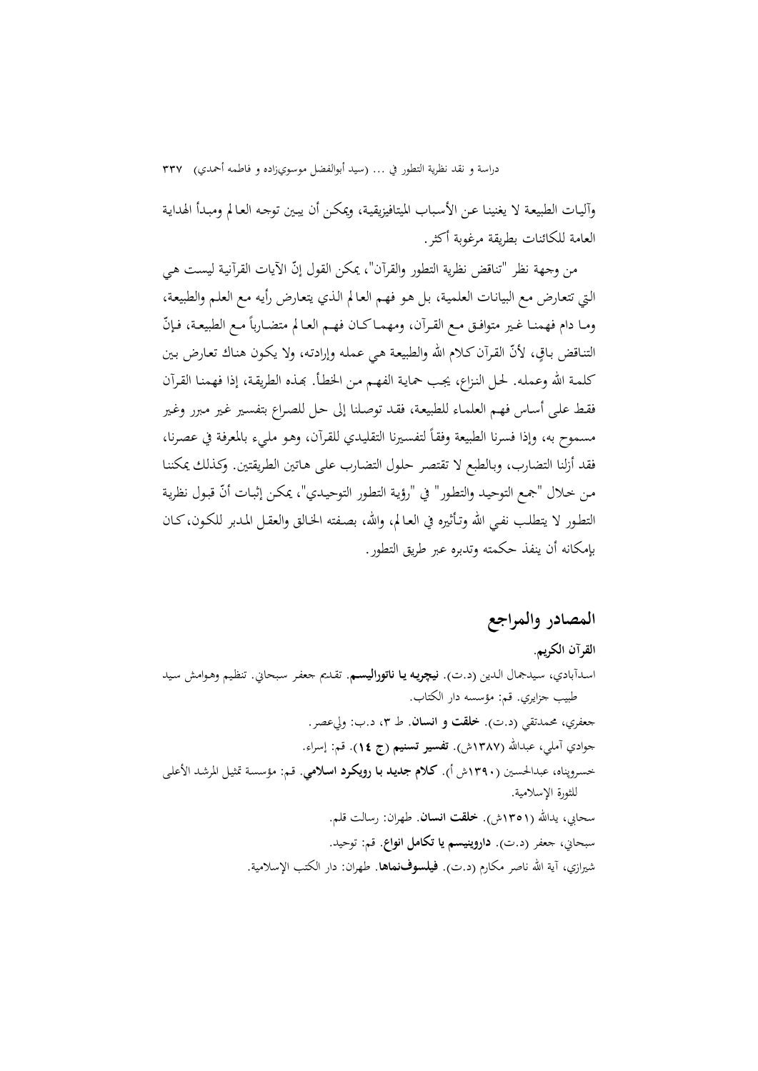وآليـات الطبيعـة لا يغنينـا عـن الأسـباب الميتافيزيقيـة، ويمكـن أن يبـين توجـه العـالم ومبـدأ الهدايـة العامة للكائنات بطريقة مرغوبة أكثر.

من وجهة نظر "تناقض نظرية التطور والقرآن"، يمكن القول إنّ الآيات القرآنية ليست هي الـتي تتعـارض مـع البيانـات العلميـة، بـل هـو فهـم العـالم الـذي يتعـارض رأيـه مـع العلـم والطبيعـة، ومـا دام فهمنـا غـير متوافـق مـع القـرآن، ومهمـاكـان فهـم العـالم متضـارباً مـع الطبيعـة، فـإنّ التنـاقض بـاقٍ، لأنّ القـرآن كـلام الله والطبيعـة هـي عـمـلـه وإرادتـه، ولا يكـون هنـاك تعـارض بـين كلمـة االله وعملـه. لحـل النـزاع، يجـب حمايـة الفهـم مـن الخطـأ. đـذه الطريقـة، إذا فهمنـا القـرآن فقـط علـى أسـاس فهـم العلمـاء للطبيعـة، فقـد توصـلنا إلى حـل للصـراع بتفسـير غـير مـبرر وغـير مسموح به، وإذا فسرنا الطبيعة وفقاً لتفسيرنا التقليدي للقرآن، وهو مليء بالمعرفة في عصرنا، فقد أزلنا التضارب، وبـالطبع لا تقتصـر حلـول التضـارب علـى هـاتين الطـريقتين. وكـذلك يمكننـا من خلال "جمع التوحيد والتطور" في "رؤية التطور التوحيدي"، يمكن إثبـات أنّ قبـول نظرية التطـور لا يتطلـب نفـي الله وتـأثيره في العـالم، والله، بصـفته الحـالق والعقـل المـدبر للكـون،كـان بإمكانه أن ينفذ حكمته وتدبره عبر طريق التطور.

### **المصادر والمراجع**

**القرآن الكريم.**  اسـدآبادي، سـيدجمال الـدين (د.ت). **نيچريـه يـا ناتوراليسـم**. تقـديم جعفـر سـبحاني. تنظـيم وهـوامش سـيد طبيب جزايري. قم: مؤسسه دار الكتاب. جعفري، محمدتقي (د.ت). **خلقت و انسان**. ط ،3 د.ب: وليعصر. جوادي آملي، عبداالله (1387ش). **تفسير تسنيم (ج** 14**)**. قم: إسراء. خسـروپناه، عبدالحسـين (1390ش أ). **كـلام جديـد بـا رويكـرد اسـلامي**. قـم: مؤسسـة تمثيـل المرشـد الأعلـى للثورة الإسلامية. سحابي، يداالله (1351ش). **خلقت انسان**. طهران: رسالت قلم. سبحاني، جعفر (د.ت). **داروينيسم يا تكامل انواع**. قم: توحيد. شيرازي، آية االله ناصر مكارم (د.ت). **فيلسوفنماها**. طهران: دار الكتب الإسلامية.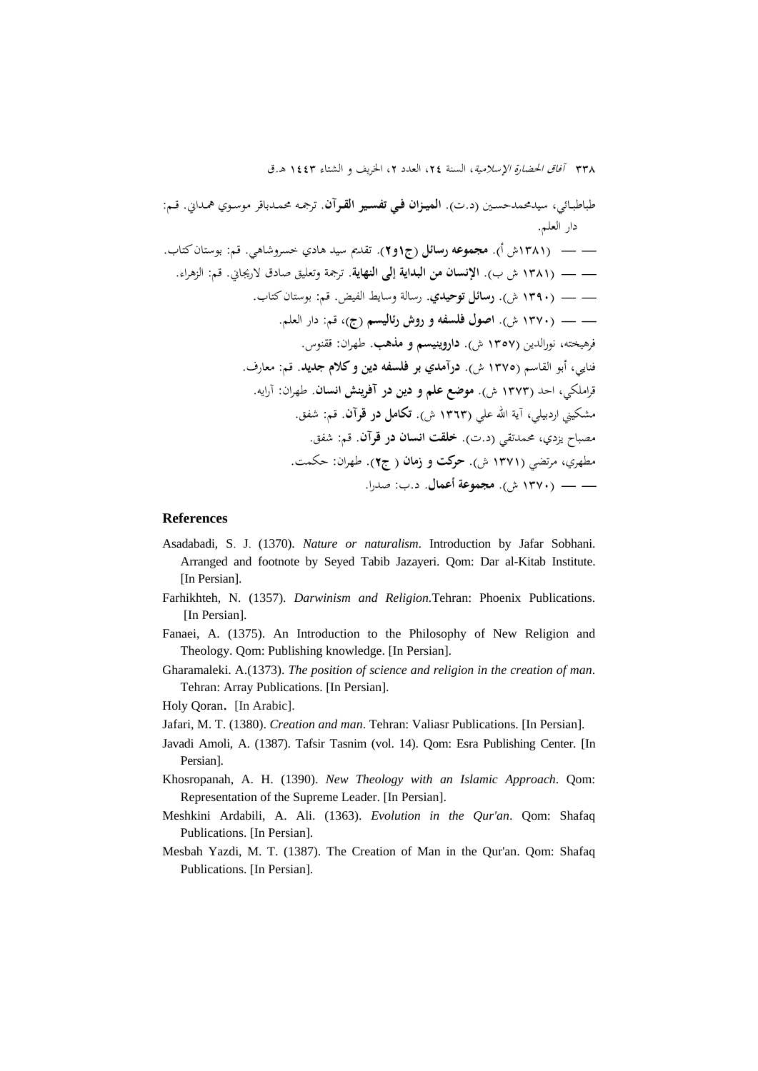طباطبـائي، سيدمحمدحسـين (د.ت). **الميــزان فــي تفســير القــرآن**. ترجمـه محمـدباقر موسـوي همـداني. قــم: دار العلم. )1381ش أ). **مجموعه رسائل (ج**1**و**2**).** تقديم سيد هادي خسروشاهي. قم: بوستانكتاب. )1381 ش ب). **الإنسان من البداية إلى النهاية**. ترجمة وتعليق صادق لاريجاني. قم: الزهراء. )1390 ش). **رسائل توحيدي**. رسالة وسايط الفيض. قم: بوستانكتاب. )1370 ش). **اصول فلسفه و روش رئاليسم (ج)**، قم: دار العلم. فرهيخته، نورالدين (1357 ش). **داروينيسم و مذهب**. طهران: ققنوس. فنايي، أبو القاسم (1375 ش). **درآمدي بر فلسفه دين وكلام جديد**. قم: معارف. قراملكي، احد (1373 ش). **موضع علم و دين در آفرينش انسان**. طهران: آرايه. مشكيني اردبيلي، آية االله علي (1363 ش). **تكامل در قرآن**. قم: شفق. مصباح يزدي، محمدتقي (د.ت). **خلقت انسان در قرآن**. قم: شفق. مطهري، مرتضي (1371 ش). **حركت و زمان ( ج**2**)**. طهران: حكمت. )1370 ش). **مجموعة أعمال.** د.ب: صدرا.

#### **References**

- Asadabadi, S. J. (1370). *Nature or naturalism*. Introduction by Jafar Sobhani. Arranged and footnote by Seyed Tabib Jazayeri. Qom: Dar al-Kitab Institute. [In Persian].
- Farhikhteh, N. (1357). *Darwinism and Religion.*Tehran: Phoenix Publications. [In Persian].
- Fanaei, A. (1375). An Introduction to the Philosophy of New Religion and Theology. Qom: Publishing knowledge. [In Persian].
- Gharamaleki. A.(1373). *The position of science and religion in the creation of man*. Tehran: Array Publications. [In Persian].

Holy Qoran. [In Arabic].

- Jafari, M. T. (1380). *Creation and man*. Tehran: Valiasr Publications. [In Persian].
- Javadi Amoli, A. (1387). Tafsir Tasnim (vol. 14). Qom: Esra Publishing Center. [In Persian].
- Khosropanah, A. H. (1390). *New Theology with an Islamic Approach*. Qom: Representation of the Supreme Leader. [In Persian].
- Meshkini Ardabili, A. Ali. (1363). *Evolution in the Qur'an*. Qom: Shafaq Publications. [In Persian].
- Mesbah Yazdi, M. T. (1387). The Creation of Man in the Qur'an. Qom: Shafaq Publications. [In Persian].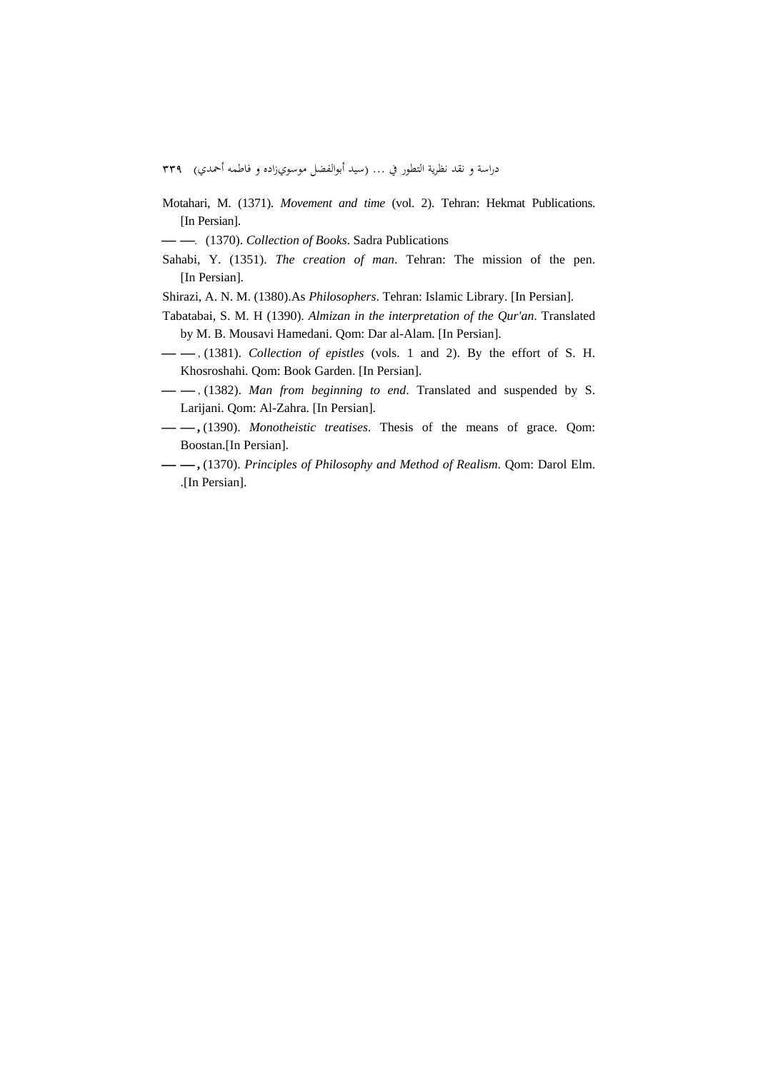- Motahari, M. (1371). *Movement and time* (vol. 2). Tehran: Hekmat Publications. [In Persian].
- .(1370). *Collection of Books*. Sadra Publications
- Sahabi, Y. (1351). *The creation of man*. Tehran: The mission of the pen. [In Persian].
- Shirazi, A. N. M. (1380).As *Philosophers*. Tehran: Islamic Library. [In Persian].
- Tabatabai, S. M. H (1390). *Almizan in the interpretation of the Qur'an*. Translated by M. B. Mousavi Hamedani. Qom: Dar al-Alam. [In Persian].
- , (1381). *Collection of epistles* (vols. 1 and 2). By the effort of S. H. Khosroshahi. Qom: Book Garden. [In Persian].
- , (1382). *Man from beginning to end*. Translated and suspended by S. Larijani. Qom: Al-Zahra. [In Persian].
- **,** (1390). *Monotheistic treatises*. Thesis of the means of grace. Qom: Boostan.[In Persian].
- **,** (1370). *Principles of Philosophy and Method of Realism*. Qom: Darol Elm. .[In Persian].